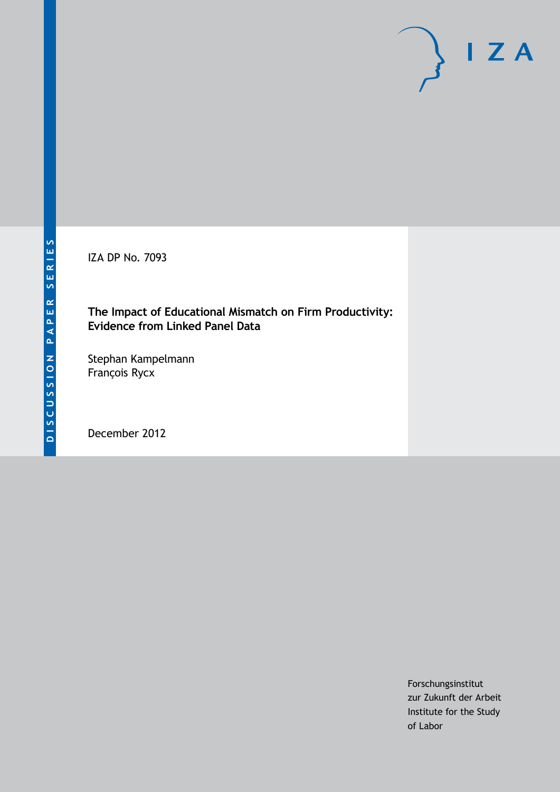IZA DP No. 7093

### **The Impact of Educational Mismatch on Firm Productivity: Evidence from Linked Panel Data**

Stephan Kampelmann François Rycx

December 2012

Forschungsinstitut zur Zukunft der Arbeit Institute for the Study of Labor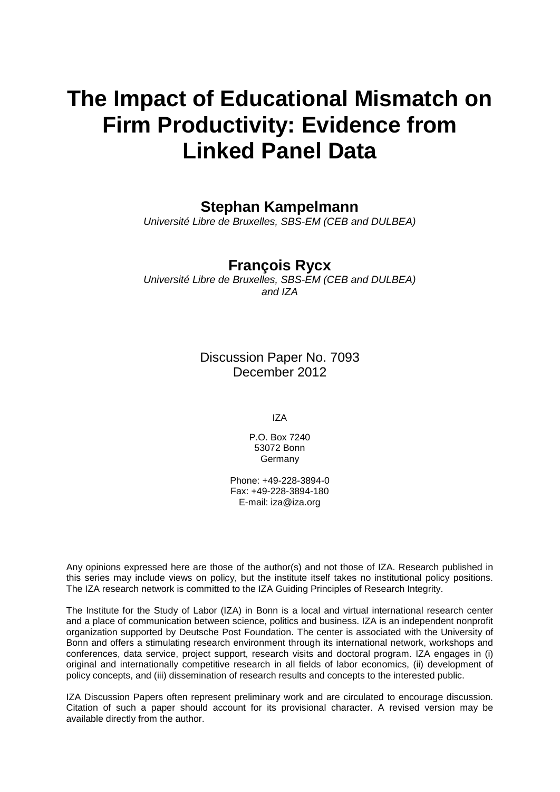# **The Impact of Educational Mismatch on Firm Productivity: Evidence from Linked Panel Data**

## **Stephan Kampelmann**

*Université Libre de Bruxelles, SBS-EM (CEB and DULBEA)*

## **François Rycx**

*Université Libre de Bruxelles, SBS-EM (CEB and DULBEA) and IZA*

> Discussion Paper No. 7093 December 2012

> > IZA

P.O. Box 7240 53072 Bonn Germany

Phone: +49-228-3894-0 Fax: +49-228-3894-180 E-mail: [iza@iza.org](mailto:iza@iza.org)

Any opinions expressed here are those of the author(s) and not those of IZA. Research published in this series may include views on policy, but the institute itself takes no institutional policy positions. The IZA research network is committed to the IZA Guiding Principles of Research Integrity.

The Institute for the Study of Labor (IZA) in Bonn is a local and virtual international research center and a place of communication between science, politics and business. IZA is an independent nonprofit organization supported by Deutsche Post Foundation. The center is associated with the University of Bonn and offers a stimulating research environment through its international network, workshops and conferences, data service, project support, research visits and doctoral program. IZA engages in (i) original and internationally competitive research in all fields of labor economics, (ii) development of policy concepts, and (iii) dissemination of research results and concepts to the interested public.

IZA Discussion Papers often represent preliminary work and are circulated to encourage discussion. Citation of such a paper should account for its provisional character. A revised version may be available directly from the author.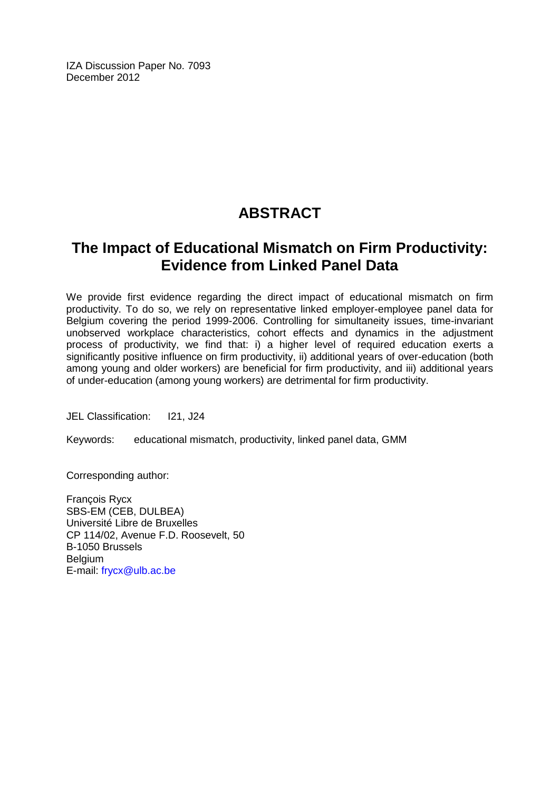IZA Discussion Paper No. 7093 December 2012

# **ABSTRACT**

# **The Impact of Educational Mismatch on Firm Productivity: Evidence from Linked Panel Data**

We provide first evidence regarding the direct impact of educational mismatch on firm productivity. To do so, we rely on representative linked employer-employee panel data for Belgium covering the period 1999-2006. Controlling for simultaneity issues, time-invariant unobserved workplace characteristics, cohort effects and dynamics in the adjustment process of productivity, we find that: i) a higher level of required education exerts a significantly positive influence on firm productivity, ii) additional years of over-education (both among young and older workers) are beneficial for firm productivity, and iii) additional years of under-education (among young workers) are detrimental for firm productivity.

JEL Classification: I21, J24

Keywords: educational mismatch, productivity, linked panel data, GMM

Corresponding author:

François Rycx SBS-EM (CEB, DULBEA) Université Libre de Bruxelles CP 114/02, Avenue F.D. Roosevelt, 50 B-1050 Brussels Belgium E-mail: [frycx@ulb.ac.be](mailto:frycx@ulb.ac.be)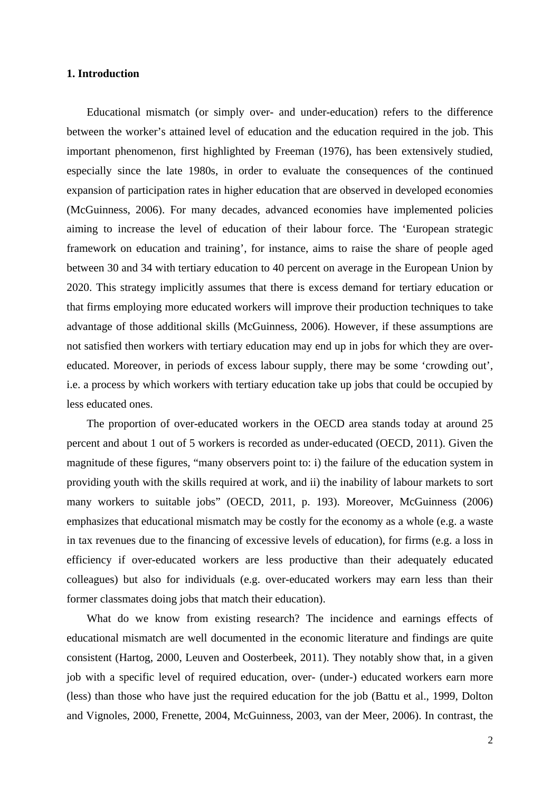#### **1. Introduction**

Educational mismatch (or simply over- and under-education) refers to the difference between the worker's attained level of education and the education required in the job. This important phenomenon, first highlighted by Freeman (1976), has been extensively studied, especially since the late 1980s, in order to evaluate the consequences of the continued expansion of participation rates in higher education that are observed in developed economies (McGuinness, 2006). For many decades, advanced economies have implemented policies aiming to increase the level of education of their labour force. The 'European strategic framework on education and training', for instance, aims to raise the share of people aged between 30 and 34 with tertiary education to 40 percent on average in the European Union by 2020. This strategy implicitly assumes that there is excess demand for tertiary education or that firms employing more educated workers will improve their production techniques to take advantage of those additional skills (McGuinness, 2006). However, if these assumptions are not satisfied then workers with tertiary education may end up in jobs for which they are overeducated. Moreover, in periods of excess labour supply, there may be some 'crowding out', i.e. a process by which workers with tertiary education take up jobs that could be occupied by less educated ones.

The proportion of over-educated workers in the OECD area stands today at around 25 percent and about 1 out of 5 workers is recorded as under-educated (OECD, 2011). Given the magnitude of these figures, "many observers point to: i) the failure of the education system in providing youth with the skills required at work, and ii) the inability of labour markets to sort many workers to suitable jobs" (OECD, 2011, p. 193). Moreover, McGuinness (2006) emphasizes that educational mismatch may be costly for the economy as a whole (e.g. a waste in tax revenues due to the financing of excessive levels of education), for firms (e.g. a loss in efficiency if over-educated workers are less productive than their adequately educated colleagues) but also for individuals (e.g. over-educated workers may earn less than their former classmates doing jobs that match their education).

What do we know from existing research? The incidence and earnings effects of educational mismatch are well documented in the economic literature and findings are quite consistent (Hartog, 2000, Leuven and Oosterbeek, 2011). They notably show that, in a given job with a specific level of required education, over- (under-) educated workers earn more (less) than those who have just the required education for the job (Battu et al., 1999, Dolton and Vignoles, 2000, Frenette, 2004, McGuinness, 2003, van der Meer, 2006). In contrast, the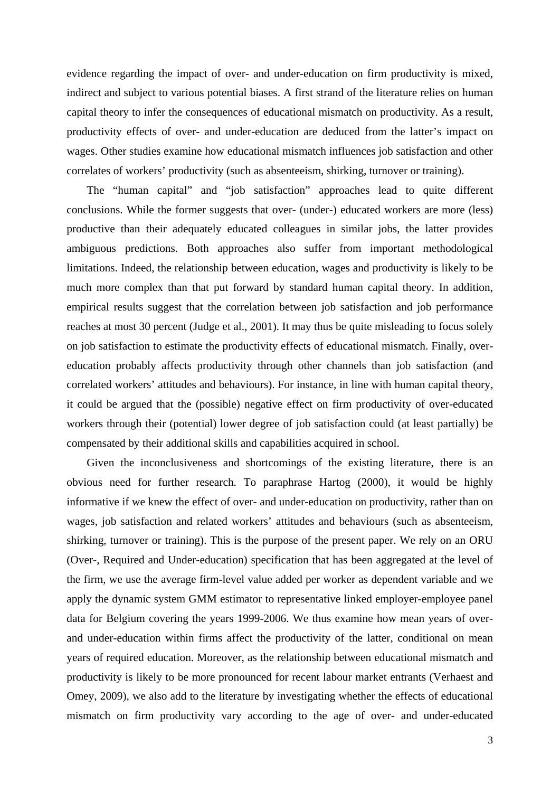evidence regarding the impact of over- and under-education on firm productivity is mixed, indirect and subject to various potential biases. A first strand of the literature relies on human capital theory to infer the consequences of educational mismatch on productivity. As a result, productivity effects of over- and under-education are deduced from the latter's impact on wages. Other studies examine how educational mismatch influences job satisfaction and other correlates of workers' productivity (such as absenteeism, shirking, turnover or training).

The "human capital" and "job satisfaction" approaches lead to quite different conclusions. While the former suggests that over- (under-) educated workers are more (less) productive than their adequately educated colleagues in similar jobs, the latter provides ambiguous predictions. Both approaches also suffer from important methodological limitations. Indeed, the relationship between education, wages and productivity is likely to be much more complex than that put forward by standard human capital theory. In addition, empirical results suggest that the correlation between job satisfaction and job performance reaches at most 30 percent (Judge et al., 2001). It may thus be quite misleading to focus solely on job satisfaction to estimate the productivity effects of educational mismatch. Finally, overeducation probably affects productivity through other channels than job satisfaction (and correlated workers' attitudes and behaviours). For instance, in line with human capital theory, it could be argued that the (possible) negative effect on firm productivity of over-educated workers through their (potential) lower degree of job satisfaction could (at least partially) be compensated by their additional skills and capabilities acquired in school.

Given the inconclusiveness and shortcomings of the existing literature, there is an obvious need for further research. To paraphrase Hartog (2000), it would be highly informative if we knew the effect of over- and under-education on productivity, rather than on wages, job satisfaction and related workers' attitudes and behaviours (such as absenteeism, shirking, turnover or training). This is the purpose of the present paper. We rely on an ORU (Over-, Required and Under-education) specification that has been aggregated at the level of the firm, we use the average firm-level value added per worker as dependent variable and we apply the dynamic system GMM estimator to representative linked employer-employee panel data for Belgium covering the years 1999-2006. We thus examine how mean years of overand under-education within firms affect the productivity of the latter, conditional on mean years of required education. Moreover, as the relationship between educational mismatch and productivity is likely to be more pronounced for recent labour market entrants (Verhaest and Omey, 2009), we also add to the literature by investigating whether the effects of educational mismatch on firm productivity vary according to the age of over- and under-educated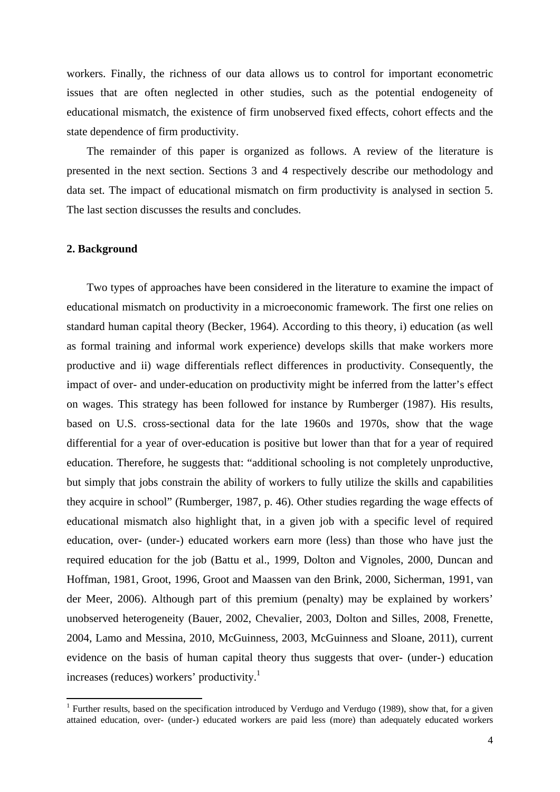workers. Finally, the richness of our data allows us to control for important econometric issues that are often neglected in other studies, such as the potential endogeneity of educational mismatch, the existence of firm unobserved fixed effects, cohort effects and the state dependence of firm productivity.

The remainder of this paper is organized as follows. A review of the literature is presented in the next section. Sections 3 and 4 respectively describe our methodology and data set. The impact of educational mismatch on firm productivity is analysed in section 5. The last section discusses the results and concludes.

#### **2. Background**

Two types of approaches have been considered in the literature to examine the impact of educational mismatch on productivity in a microeconomic framework. The first one relies on standard human capital theory (Becker, 1964). According to this theory, i) education (as well as formal training and informal work experience) develops skills that make workers more productive and ii) wage differentials reflect differences in productivity. Consequently, the impact of over- and under-education on productivity might be inferred from the latter's effect on wages. This strategy has been followed for instance by Rumberger (1987). His results, based on U.S. cross-sectional data for the late 1960s and 1970s, show that the wage differential for a year of over-education is positive but lower than that for a year of required education. Therefore, he suggests that: "additional schooling is not completely unproductive, but simply that jobs constrain the ability of workers to fully utilize the skills and capabilities they acquire in school" (Rumberger, 1987, p. 46). Other studies regarding the wage effects of educational mismatch also highlight that, in a given job with a specific level of required education, over- (under-) educated workers earn more (less) than those who have just the required education for the job (Battu et al., 1999, Dolton and Vignoles, 2000, Duncan and Hoffman, 1981, Groot, 1996, Groot and Maassen van den Brink, 2000, Sicherman, 1991, van der Meer, 2006). Although part of this premium (penalty) may be explained by workers' unobserved heterogeneity (Bauer, 2002, Chevalier, 2003, Dolton and Silles, 2008, Frenette, 2004, Lamo and Messina, 2010, McGuinness, 2003, McGuinness and Sloane, 2011), current evidence on the basis of human capital theory thus suggests that over- (under-) education increases (reduces) workers' productivity.<sup>1</sup>

<sup>&</sup>lt;sup>1</sup> Further results, based on the specification introduced by Verdugo and Verdugo (1989), show that, for a given attained education, over- (under-) educated workers are paid less (more) than adequately educated workers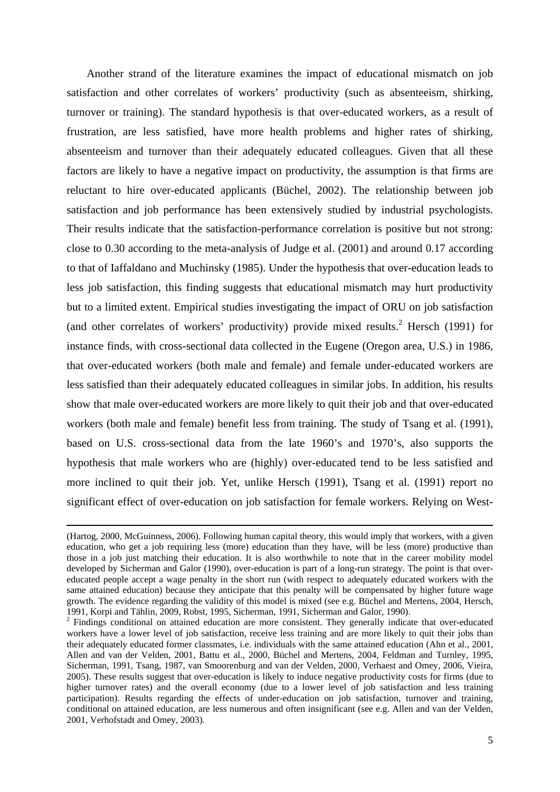Another strand of the literature examines the impact of educational mismatch on job satisfaction and other correlates of workers' productivity (such as absenteeism, shirking, turnover or training). The standard hypothesis is that over-educated workers, as a result of frustration, are less satisfied, have more health problems and higher rates of shirking, absenteeism and turnover than their adequately educated colleagues. Given that all these factors are likely to have a negative impact on productivity, the assumption is that firms are reluctant to hire over-educated applicants (Büchel, 2002). The relationship between job satisfaction and job performance has been extensively studied by industrial psychologists. Their results indicate that the satisfaction-performance correlation is positive but not strong: close to 0.30 according to the meta-analysis of Judge et al. (2001) and around 0.17 according to that of Iaffaldano and Muchinsky (1985). Under the hypothesis that over-education leads to less job satisfaction, this finding suggests that educational mismatch may hurt productivity but to a limited extent. Empirical studies investigating the impact of ORU on job satisfaction (and other correlates of workers' productivity) provide mixed results.<sup>2</sup> Hersch (1991) for instance finds, with cross-sectional data collected in the Eugene (Oregon area, U.S.) in 1986, that over-educated workers (both male and female) and female under-educated workers are less satisfied than their adequately educated colleagues in similar jobs. In addition, his results show that male over-educated workers are more likely to quit their job and that over-educated workers (both male and female) benefit less from training. The study of Tsang et al. (1991), based on U.S. cross-sectional data from the late 1960's and 1970's, also supports the hypothesis that male workers who are (highly) over-educated tend to be less satisfied and more inclined to quit their job. Yet, unlike Hersch (1991), Tsang et al. (1991) report no significant effect of over-education on job satisfaction for female workers. Relying on West-

<u> 1989 - Johann Stoff, amerikansk politiker (d. 1989)</u>

<sup>(</sup>Hartog, 2000, McGuinness, 2006). Following human capital theory, this would imply that workers, with a given education, who get a job requiring less (more) education than they have, will be less (more) productive than those in a job just matching their education. It is also worthwhile to note that in the career mobility model developed by Sicherman and Galor (1990), over-education is part of a long-run strategy. The point is that overeducated people accept a wage penalty in the short run (with respect to adequately educated workers with the same attained education) because they anticipate that this penalty will be compensated by higher future wage growth. The evidence regarding the validity of this model is mixed (see e.g. Büchel and Mertens, 2004, Hersch, 1991, Korpi and Tählin, 2009, Robst, 1995, Sicherman, 1991, Sicherman and Galor, 1990).

<sup>&</sup>lt;sup>2</sup> Findings conditional on attained education are more consistent. They generally indicate that over-educated workers have a lower level of job satisfaction, receive less training and are more likely to quit their jobs than their adequately educated former classmates, i.e. individuals with the same attained education (Ahn et al., 2001, Allen and van der Velden, 2001, Battu et al., 2000, Büchel and Mertens, 2004, Feldman and Turnley, 1995, Sicherman, 1991, Tsang, 1987, van Smoorenburg and van der Velden, 2000, Verhaest and Omey, 2006, Vieira, 2005). These results suggest that over-education is likely to induce negative productivity costs for firms (due to higher turnover rates) and the overall economy (due to a lower level of job satisfaction and less training participation). Results regarding the effects of under-education on job satisfaction, turnover and training, conditional on attained education, are less numerous and often insignificant (see e.g. Allen and van der Velden, 2001, Verhofstadt and Omey, 2003).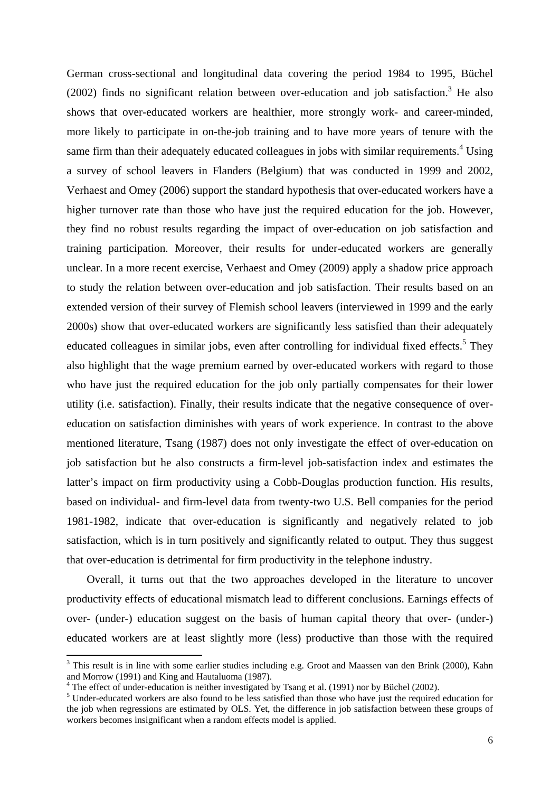German cross-sectional and longitudinal data covering the period 1984 to 1995, Büchel  $(2002)$  finds no significant relation between over-education and job satisfaction.<sup>3</sup> He also shows that over-educated workers are healthier, more strongly work- and career-minded, more likely to participate in on-the-job training and to have more years of tenure with the same firm than their adequately educated colleagues in jobs with similar requirements.<sup>4</sup> Using a survey of school leavers in Flanders (Belgium) that was conducted in 1999 and 2002, Verhaest and Omey (2006) support the standard hypothesis that over-educated workers have a higher turnover rate than those who have just the required education for the job. However, they find no robust results regarding the impact of over-education on job satisfaction and training participation. Moreover, their results for under-educated workers are generally unclear. In a more recent exercise, Verhaest and Omey (2009) apply a shadow price approach to study the relation between over-education and job satisfaction. Their results based on an extended version of their survey of Flemish school leavers (interviewed in 1999 and the early 2000s) show that over-educated workers are significantly less satisfied than their adequately educated colleagues in similar jobs, even after controlling for individual fixed effects.<sup>5</sup> They also highlight that the wage premium earned by over-educated workers with regard to those who have just the required education for the job only partially compensates for their lower utility (i.e. satisfaction). Finally, their results indicate that the negative consequence of overeducation on satisfaction diminishes with years of work experience. In contrast to the above mentioned literature, Tsang (1987) does not only investigate the effect of over-education on job satisfaction but he also constructs a firm-level job-satisfaction index and estimates the latter's impact on firm productivity using a Cobb-Douglas production function. His results, based on individual- and firm-level data from twenty-two U.S. Bell companies for the period 1981-1982, indicate that over-education is significantly and negatively related to job satisfaction, which is in turn positively and significantly related to output. They thus suggest that over-education is detrimental for firm productivity in the telephone industry.

Overall, it turns out that the two approaches developed in the literature to uncover productivity effects of educational mismatch lead to different conclusions. Earnings effects of over- (under-) education suggest on the basis of human capital theory that over- (under-) educated workers are at least slightly more (less) productive than those with the required

<sup>&</sup>lt;sup>3</sup> This result is in line with some earlier studies including e.g. Groot and Maassen van den Brink (2000), Kahn and Morrow (1991) and King and Hautaluoma (1987).

<sup>&</sup>lt;sup>4</sup> The effect of under-education is neither investigated by Tsang et al. (1991) nor by Büchel (2002).

<sup>&</sup>lt;sup>5</sup> Under-educated workers are also found to be less satisfied than those who have just the required education for the job when regressions are estimated by OLS. Yet, the difference in job satisfaction between these groups of workers becomes insignificant when a random effects model is applied.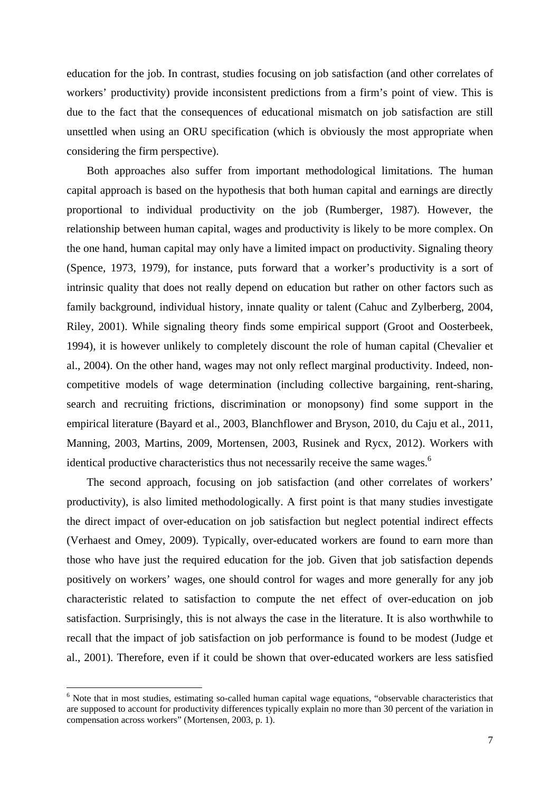education for the job. In contrast, studies focusing on job satisfaction (and other correlates of workers' productivity) provide inconsistent predictions from a firm's point of view. This is due to the fact that the consequences of educational mismatch on job satisfaction are still unsettled when using an ORU specification (which is obviously the most appropriate when considering the firm perspective).

Both approaches also suffer from important methodological limitations. The human capital approach is based on the hypothesis that both human capital and earnings are directly proportional to individual productivity on the job (Rumberger, 1987). However, the relationship between human capital, wages and productivity is likely to be more complex. On the one hand, human capital may only have a limited impact on productivity. Signaling theory (Spence, 1973, 1979), for instance, puts forward that a worker's productivity is a sort of intrinsic quality that does not really depend on education but rather on other factors such as family background, individual history, innate quality or talent (Cahuc and Zylberberg, 2004, Riley, 2001). While signaling theory finds some empirical support (Groot and Oosterbeek, 1994), it is however unlikely to completely discount the role of human capital (Chevalier et al., 2004). On the other hand, wages may not only reflect marginal productivity. Indeed, noncompetitive models of wage determination (including collective bargaining, rent-sharing, search and recruiting frictions, discrimination or monopsony) find some support in the empirical literature (Bayard et al., 2003, Blanchflower and Bryson, 2010, du Caju et al., 2011, Manning, 2003, Martins, 2009, Mortensen, 2003, Rusinek and Rycx, 2012). Workers with identical productive characteristics thus not necessarily receive the same wages. $<sup>6</sup>$ </sup>

The second approach, focusing on job satisfaction (and other correlates of workers' productivity), is also limited methodologically. A first point is that many studies investigate the direct impact of over-education on job satisfaction but neglect potential indirect effects (Verhaest and Omey, 2009). Typically, over-educated workers are found to earn more than those who have just the required education for the job. Given that job satisfaction depends positively on workers' wages, one should control for wages and more generally for any job characteristic related to satisfaction to compute the net effect of over-education on job satisfaction. Surprisingly, this is not always the case in the literature. It is also worthwhile to recall that the impact of job satisfaction on job performance is found to be modest (Judge et al., 2001). Therefore, even if it could be shown that over-educated workers are less satisfied

<sup>&</sup>lt;sup>6</sup> Note that in most studies, estimating so-called human capital wage equations, "observable characteristics that are supposed to account for productivity differences typically explain no more than 30 percent of the variation in compensation across workers" (Mortensen, 2003, p. 1).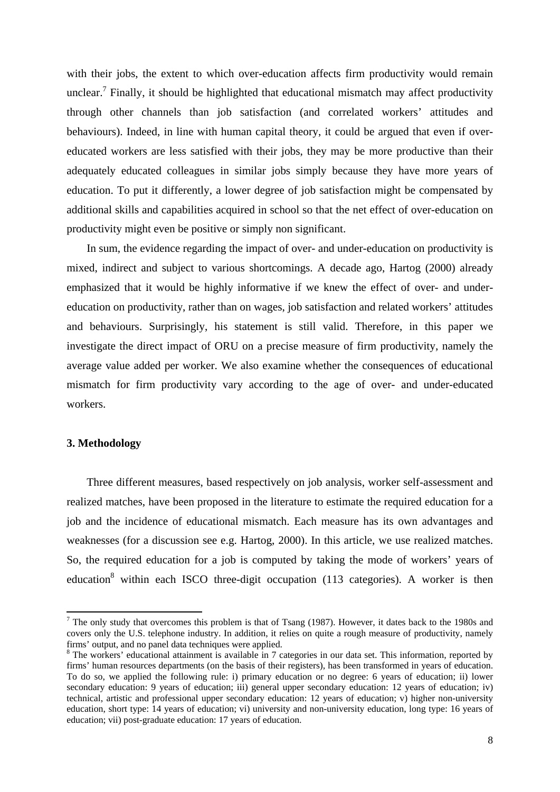with their jobs, the extent to which over-education affects firm productivity would remain unclear.<sup>7</sup> Finally, it should be highlighted that educational mismatch may affect productivity through other channels than job satisfaction (and correlated workers' attitudes and behaviours). Indeed, in line with human capital theory, it could be argued that even if overeducated workers are less satisfied with their jobs, they may be more productive than their adequately educated colleagues in similar jobs simply because they have more years of education. To put it differently, a lower degree of job satisfaction might be compensated by additional skills and capabilities acquired in school so that the net effect of over-education on productivity might even be positive or simply non significant.

In sum, the evidence regarding the impact of over- and under-education on productivity is mixed, indirect and subject to various shortcomings. A decade ago, Hartog (2000) already emphasized that it would be highly informative if we knew the effect of over- and undereducation on productivity, rather than on wages, job satisfaction and related workers' attitudes and behaviours. Surprisingly, his statement is still valid. Therefore, in this paper we investigate the direct impact of ORU on a precise measure of firm productivity, namely the average value added per worker. We also examine whether the consequences of educational mismatch for firm productivity vary according to the age of over- and under-educated workers.

#### **3. Methodology**

Three different measures, based respectively on job analysis, worker self-assessment and realized matches, have been proposed in the literature to estimate the required education for a job and the incidence of educational mismatch. Each measure has its own advantages and weaknesses (for a discussion see e.g. Hartog, 2000). In this article, we use realized matches. So, the required education for a job is computed by taking the mode of workers' years of education<sup>8</sup> within each ISCO three-digit occupation (113 categories). A worker is then

 $<sup>7</sup>$  The only study that overcomes this problem is that of Tsang (1987). However, it dates back to the 1980s and</sup> covers only the U.S. telephone industry. In addition, it relies on quite a rough measure of productivity, namely firms' output, and no panel data techniques were applied.

<sup>&</sup>lt;sup>8</sup> The workers' educational attainment is available in 7 categories in our data set. This information, reported by firms' human resources departments (on the basis of their registers), has been transformed in years of education. To do so, we applied the following rule: i) primary education or no degree: 6 years of education; ii) lower secondary education: 9 years of education; iii) general upper secondary education: 12 years of education; iv) technical, artistic and professional upper secondary education: 12 years of education; v) higher non-university education, short type: 14 years of education; vi) university and non-university education, long type: 16 years of education; vii) post-graduate education: 17 years of education.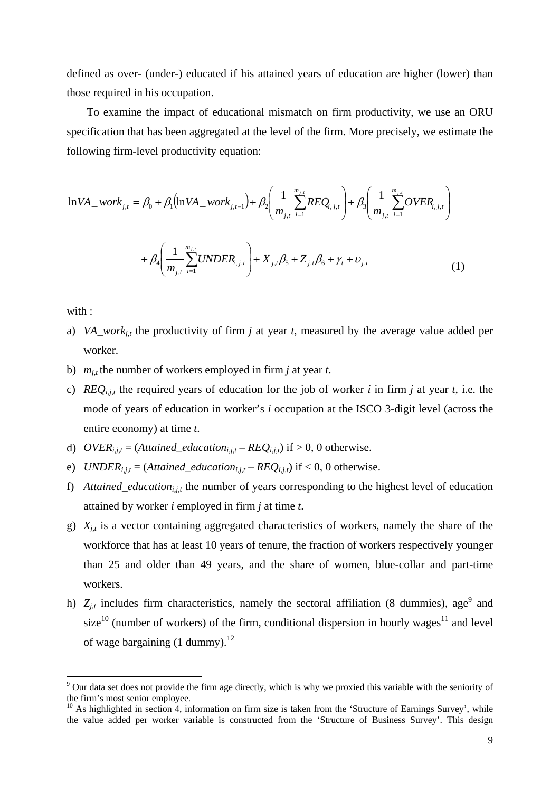defined as over- (under-) educated if his attained years of education are higher (lower) than those required in his occupation.

To examine the impact of educational mismatch on firm productivity, we use an ORU specification that has been aggregated at the level of the firm. More precisely, we estimate the following firm-level productivity equation:

$$
\ln VA_{\perp} work_{j,t} = \beta_0 + \beta_1 (\ln VA_{\perp} work_{j,t-1}) + \beta_2 \left( \frac{1}{m_{j,t}} \sum_{i=1}^{m_{j,t}} REQ_{i,j,t} \right) + \beta_3 \left( \frac{1}{m_{j,t}} \sum_{i=1}^{m_{j,t}} OVER_{i,j,t} \right)
$$

$$
+ \beta_4 \left( \frac{1}{m_{j,t}} \sum_{i=1}^{m_{j,t}} UNDER_{i,j,t} \right) + X_{j,t} \beta_5 + Z_{j,t} \beta_6 + \gamma_t + \upsilon_{j,t} \tag{1}
$$

with :

- a) *VA\_workj*,*t* the productivity of firm *j* at year *t*, measured by the average value added per worker.
- b) *mj*,*<sup>t</sup>* the number of workers employed in firm *j* at year *t*.

- c) *REQ*<sub>*i,j*</sub>, the required years of education for the job of worker *i* in firm *j* at year *t*, i.e. the mode of years of education in worker's *i* occupation at the ISCO 3-digit level (across the entire economy) at time *t*.
- d) *OVER*<sub>*i,j<sub>t</sub>* = (*Attained\_education<sub>i,jt</sub></sub>*  $REQ_{i,j,t}$ ) if > 0, 0 otherwise.</sub>
- e) *UNDER*<sub>*i,j,t*</sub> = (*Attained\_education*<sub>*i,j,t*</sub>  $REQ_{i,j,t}$ ) if < 0, 0 otherwise.
- f) *Attained\_education<sub>i,i,t</sub>* the number of years corresponding to the highest level of education attained by worker *i* employed in firm *j* at time *t*.
- g)  $X_{j,t}$  is a vector containing aggregated characteristics of workers, namely the share of the workforce that has at least 10 years of tenure, the fraction of workers respectively younger than 25 and older than 49 years, and the share of women, blue-collar and part-time workers.
- h)  $Z_{j,t}$  includes firm characteristics, namely the sectoral affiliation (8 dummies), age<sup>9</sup> and size<sup>10</sup> (number of workers) of the firm, conditional dispersion in hourly wages<sup>11</sup> and level of wage bargaining  $(1 \text{ dummy})$ .<sup>12</sup>

<sup>&</sup>lt;sup>9</sup> Our data set does not provide the firm age directly, which is why we proxied this variable with the seniority of the firm's most senior employee.

 $10$  As highlighted in section 4, information on firm size is taken from the 'Structure of Earnings Survey', while the value added per worker variable is constructed from the 'Structure of Business Survey'. This design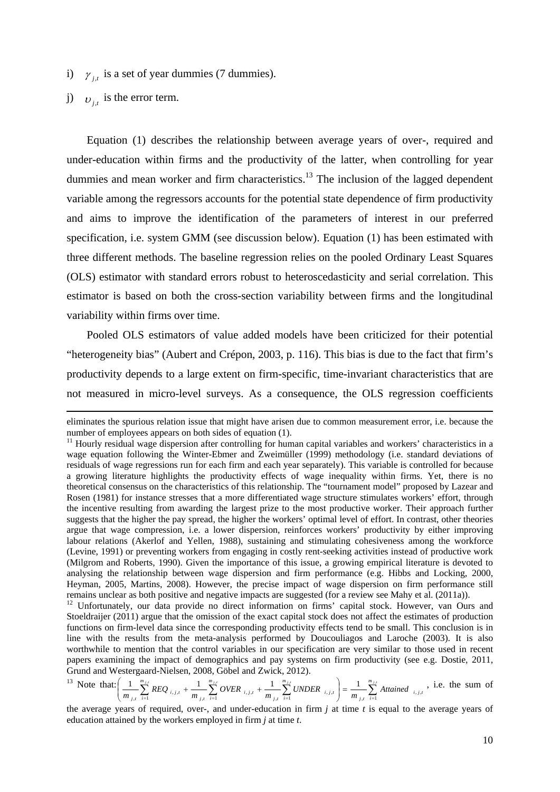i)  $\gamma_{i,t}$  is a set of year dummies (7 dummies).

j)  $v_{i,t}$  is the error term.

Equation (1) describes the relationship between average years of over-, required and under-education within firms and the productivity of the latter, when controlling for year dummies and mean worker and firm characteristics. $13$  The inclusion of the lagged dependent variable among the regressors accounts for the potential state dependence of firm productivity and aims to improve the identification of the parameters of interest in our preferred specification, i.e. system GMM (see discussion below). Equation (1) has been estimated with three different methods. The baseline regression relies on the pooled Ordinary Least Squares (OLS) estimator with standard errors robust to heteroscedasticity and serial correlation. This estimator is based on both the cross-section variability between firms and the longitudinal variability within firms over time.

Pooled OLS estimators of value added models have been criticized for their potential "heterogeneity bias" (Aubert and Crépon, 2003, p. 116). This bias is due to the fact that firm's productivity depends to a large extent on firm-specific, time-invariant characteristics that are not measured in micro-level surveys. As a consequence, the OLS regression coefficients

<sup>&</sup>lt;u> 1989 - Johann Stoff, amerikansk politiker (d. 1989)</u> eliminates the spurious relation issue that might have arisen due to common measurement error, i.e. because the number of employees appears on both sides of equation (1).

<sup>&</sup>lt;sup>11</sup> Hourly residual wage dispersion after controlling for human capital variables and workers' characteristics in a wage equation following the Winter-Ebmer and Zweimüller (1999) methodology (i.e. standard deviations of residuals of wage regressions run for each firm and each year separately). This variable is controlled for because a growing literature highlights the productivity effects of wage inequality within firms. Yet, there is no theoretical consensus on the characteristics of this relationship. The "tournament model" proposed by Lazear and Rosen (1981) for instance stresses that a more differentiated wage structure stimulates workers' effort, through the incentive resulting from awarding the largest prize to the most productive worker. Their approach further suggests that the higher the pay spread, the higher the workers' optimal level of effort. In contrast, other theories argue that wage compression, i.e. a lower dispersion, reinforces workers' productivity by either improving labour relations (Akerlof and Yellen, 1988), sustaining and stimulating cohesiveness among the workforce (Levine, 1991) or preventing workers from engaging in costly rent-seeking activities instead of productive work (Milgrom and Roberts, 1990). Given the importance of this issue, a growing empirical literature is devoted to analysing the relationship between wage dispersion and firm performance (e.g. Hibbs and Locking, 2000, Heyman, 2005, Martins, 2008). However, the precise impact of wage dispersion on firm performance still

remains unclear as both positive and negative impacts are suggested (for a review see Mahy et al. (2011a)).<br><sup>12</sup> Unfortunately, our data provide no direct information on firms' capital stock. However, van Ours and Stoeldraijer (2011) argue that the omission of the exact capital stock does not affect the estimates of production functions on firm-level data since the corresponding productivity effects tend to be small. This conclusion is in line with the results from the meta-analysis performed by Doucouliagos and Laroche (2003). It is also worthwhile to mention that the control variables in our specification are very similar to those used in recent papers examining the impact of demographics and pay systems on firm productivity (see e.g. Dostie, 2011, Grund and Westergaard-Nielsen, 2008, Göbel and Zwick, 2012).

<sup>&</sup>lt;sup>13</sup> Note that:  $\left(\frac{1}{m}\sum_{i=1}^{m_{j,t}}\text{REQ}_{i,j,t} + \frac{1}{m}\sum_{i=1}^{m_{j,t}}\text{OVER}_{i,j,t} + \frac{1}{m}\sum_{i=1}^{m_{j,t}}\text{UNDER}_{i,j,t}\right) = \frac{1}{m}\sum_{i=1}^{m_{j,t}}\sum_{i=1}^{m_{j,t}}\sum_{i=1}^{m_{j,t}}\sum_{i=1}^{m_{j,t}}\sum_{i=1}^{m_{j,t}}\sum_{i=1}^{m_{j,t}}\sum_{i=1}^{m_{j,t}}\sum_{i=1}^{m_{j,t}}$ )  $\backslash$  $\overline{\phantom{a}}$ l  $\left(\frac{1}{1-\sum_{i=1}^{m_{j,i}}REQ_{i,j,i} + \frac{1}{1-\sum_{i=1}^{m_{j,i}} OVER_{i,j,i} + \frac{1}{1-\sum_{i=1}^{m_{j,i}} UNDER_{i,j,i}}\right) = \frac{1}{1-\sum_{i=1}^{m_{j,i}}P}$  $\sum_{j,t}$   $\sum_{i=1}^{n}$   $\sum_{i=1}^{n}$   $\sum_{i=1}^{n}$ *m*  $\sum_{j,t}$  *c i i j j i m*  $\sum_{j,t}$   $\sum_{i=1}^{t}$   $\mathbf{V}^{t}$   $\mathbf{E}^{t}$   $\sum_{i,j,t}$ *m*  $\frac{1}{m} \sum_{i=1}^{m} {^{\frac{1}{m}} \sum_{i=1}^{m} {P} \sum_{j,i}^{m} {P} \sum_{i=1}^{m} {Q} {V} {E} {R}_{i,j,i} + \frac{1}{m} \sum_{j,i}^{m} {V} {N} {D} {E} {R}_{i,j,i} \bigg} = \frac{1}{m} \sum_{j,i}^{m} {A} t t$ atined  $\sum_{i,j,i} \sum_{i=1}^{NLS} \sum_{i,j,i} \sum_{j=1}^{N} \sum_{j=1}^{N} OV E N_{i,j,i} + \frac{1}{m} \sum_{j,i} \sum_{i=1}^{N} ONDE N_{i,j,i} + \frac{1}{m} \sum_{j,i} \sum_{i=1}^{N} N n_{i}$  $\frac{1}{1} \frac{m_{11}}{N}$   $_{BEO}$   $\frac{1}{N} \frac{m_{12}}{N}$  (NEP  $\frac{1}{N} \frac{m_{13}}{N}$  , i.e. the sum of

the average years of required, over-, and under-education in firm *j* at time *t* is equal to the average years of education attained by the workers employed in firm *j* at time *t*.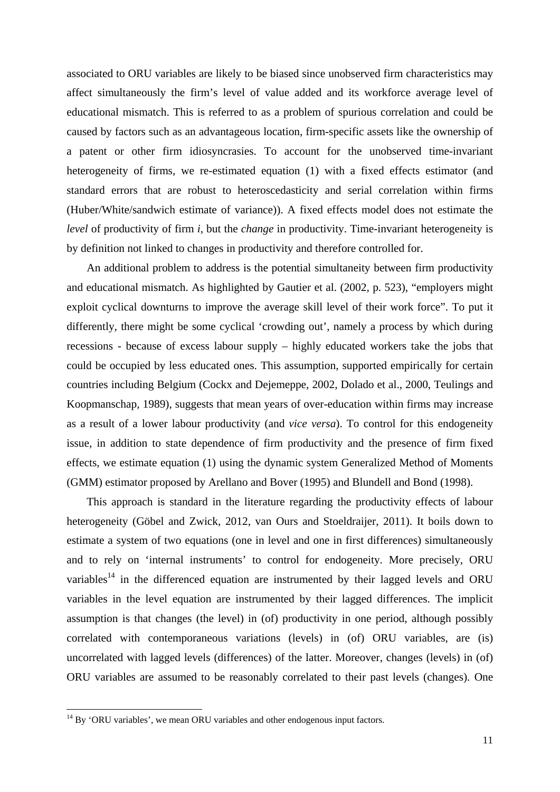associated to ORU variables are likely to be biased since unobserved firm characteristics may affect simultaneously the firm's level of value added and its workforce average level of educational mismatch. This is referred to as a problem of spurious correlation and could be caused by factors such as an advantageous location, firm-specific assets like the ownership of a patent or other firm idiosyncrasies. To account for the unobserved time-invariant heterogeneity of firms, we re-estimated equation (1) with a fixed effects estimator (and standard errors that are robust to heteroscedasticity and serial correlation within firms (Huber/White/sandwich estimate of variance)). A fixed effects model does not estimate the *level* of productivity of firm *i*, but the *change* in productivity. Time-invariant heterogeneity is by definition not linked to changes in productivity and therefore controlled for.

An additional problem to address is the potential simultaneity between firm productivity and educational mismatch. As highlighted by Gautier et al. (2002, p. 523), "employers might exploit cyclical downturns to improve the average skill level of their work force". To put it differently, there might be some cyclical 'crowding out', namely a process by which during recessions - because of excess labour supply – highly educated workers take the jobs that could be occupied by less educated ones. This assumption, supported empirically for certain countries including Belgium (Cockx and Dejemeppe, 2002, Dolado et al., 2000, Teulings and Koopmanschap, 1989), suggests that mean years of over-education within firms may increase as a result of a lower labour productivity (and *vice versa*). To control for this endogeneity issue, in addition to state dependence of firm productivity and the presence of firm fixed effects, we estimate equation (1) using the dynamic system Generalized Method of Moments (GMM) estimator proposed by Arellano and Bover (1995) and Blundell and Bond (1998).

This approach is standard in the literature regarding the productivity effects of labour heterogeneity (Göbel and Zwick, 2012, van Ours and Stoeldraijer, 2011). It boils down to estimate a system of two equations (one in level and one in first differences) simultaneously and to rely on 'internal instruments' to control for endogeneity. More precisely, ORU variables<sup>14</sup> in the differenced equation are instrumented by their lagged levels and ORU variables in the level equation are instrumented by their lagged differences. The implicit assumption is that changes (the level) in (of) productivity in one period, although possibly correlated with contemporaneous variations (levels) in (of) ORU variables, are (is) uncorrelated with lagged levels (differences) of the latter. Moreover, changes (levels) in (of) ORU variables are assumed to be reasonably correlated to their past levels (changes). One

 $14$  By 'ORU variables', we mean ORU variables and other endogenous input factors.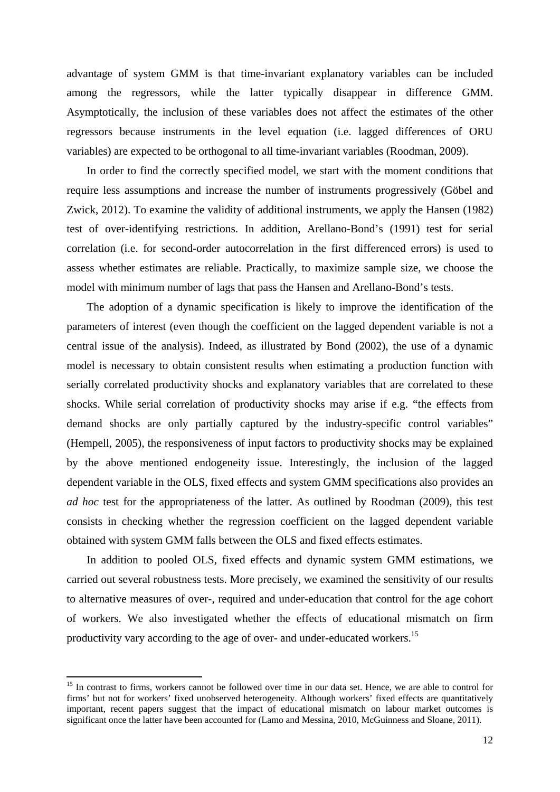advantage of system GMM is that time-invariant explanatory variables can be included among the regressors, while the latter typically disappear in difference GMM. Asymptotically, the inclusion of these variables does not affect the estimates of the other regressors because instruments in the level equation (i.e. lagged differences of ORU variables) are expected to be orthogonal to all time-invariant variables (Roodman, 2009).

In order to find the correctly specified model, we start with the moment conditions that require less assumptions and increase the number of instruments progressively (Göbel and Zwick, 2012). To examine the validity of additional instruments, we apply the Hansen (1982) test of over-identifying restrictions. In addition, Arellano-Bond's (1991) test for serial correlation (i.e. for second-order autocorrelation in the first differenced errors) is used to assess whether estimates are reliable. Practically, to maximize sample size, we choose the model with minimum number of lags that pass the Hansen and Arellano-Bond's tests.

The adoption of a dynamic specification is likely to improve the identification of the parameters of interest (even though the coefficient on the lagged dependent variable is not a central issue of the analysis). Indeed, as illustrated by Bond (2002), the use of a dynamic model is necessary to obtain consistent results when estimating a production function with serially correlated productivity shocks and explanatory variables that are correlated to these shocks. While serial correlation of productivity shocks may arise if e.g. "the effects from demand shocks are only partially captured by the industry-specific control variables" (Hempell, 2005), the responsiveness of input factors to productivity shocks may be explained by the above mentioned endogeneity issue. Interestingly, the inclusion of the lagged dependent variable in the OLS, fixed effects and system GMM specifications also provides an *ad hoc* test for the appropriateness of the latter. As outlined by Roodman (2009), this test consists in checking whether the regression coefficient on the lagged dependent variable obtained with system GMM falls between the OLS and fixed effects estimates.

In addition to pooled OLS, fixed effects and dynamic system GMM estimations, we carried out several robustness tests. More precisely, we examined the sensitivity of our results to alternative measures of over-, required and under-education that control for the age cohort of workers. We also investigated whether the effects of educational mismatch on firm productivity vary according to the age of over- and under-educated workers.15

<sup>&</sup>lt;sup>15</sup> In contrast to firms, workers cannot be followed over time in our data set. Hence, we are able to control for firms' but not for workers' fixed unobserved heterogeneity. Although workers' fixed effects are quantitatively important, recent papers suggest that the impact of educational mismatch on labour market outcomes is significant once the latter have been accounted for (Lamo and Messina, 2010, McGuinness and Sloane, 2011).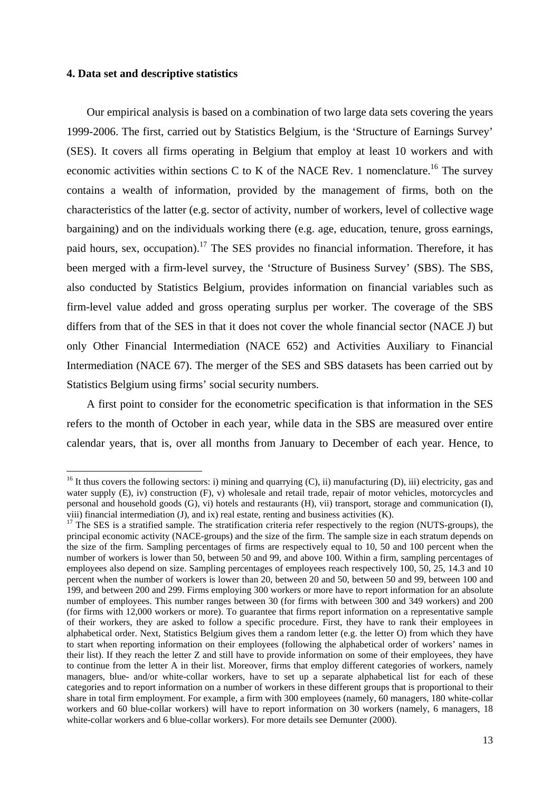#### **4. Data set and descriptive statistics**

Our empirical analysis is based on a combination of two large data sets covering the years 1999-2006. The first, carried out by Statistics Belgium, is the 'Structure of Earnings Survey' (SES). It covers all firms operating in Belgium that employ at least 10 workers and with economic activities within sections C to K of the NACE Rev. 1 nomenclature.<sup>16</sup> The survey contains a wealth of information, provided by the management of firms, both on the characteristics of the latter (e.g. sector of activity, number of workers, level of collective wage bargaining) and on the individuals working there (e.g. age, education, tenure, gross earnings, paid hours, sex, occupation).17 The SES provides no financial information. Therefore, it has been merged with a firm-level survey, the 'Structure of Business Survey' (SBS). The SBS, also conducted by Statistics Belgium, provides information on financial variables such as firm-level value added and gross operating surplus per worker. The coverage of the SBS differs from that of the SES in that it does not cover the whole financial sector (NACE J) but only Other Financial Intermediation (NACE 652) and Activities Auxiliary to Financial Intermediation (NACE 67). The merger of the SES and SBS datasets has been carried out by Statistics Belgium using firms' social security numbers.

A first point to consider for the econometric specification is that information in the SES refers to the month of October in each year, while data in the SBS are measured over entire calendar years, that is, over all months from January to December of each year. Hence, to

<sup>&</sup>lt;sup>16</sup> It thus covers the following sectors: i) mining and quarrying  $(C)$ , ii) manufacturing  $(D)$ , iii) electricity, gas and water supply (E), iv) construction (F), v) wholesale and retail trade, repair of motor vehicles, motorcycles and personal and household goods (G), vi) hotels and restaurants (H), vii) transport, storage and communication (I), viii) financial intermediation (J), and ix) real estate, renting and business activities (K).

<sup>&</sup>lt;sup>17</sup> The SES is a stratified sample. The stratification criteria refer respectively to the region (NUTS-groups), the principal economic activity (NACE-groups) and the size of the firm. The sample size in each stratum depends on the size of the firm. Sampling percentages of firms are respectively equal to 10, 50 and 100 percent when the number of workers is lower than 50, between 50 and 99, and above 100. Within a firm, sampling percentages of employees also depend on size. Sampling percentages of employees reach respectively 100, 50, 25, 14.3 and 10 percent when the number of workers is lower than 20, between 20 and 50, between 50 and 99, between 100 and 199, and between 200 and 299. Firms employing 300 workers or more have to report information for an absolute number of employees. This number ranges between 30 (for firms with between 300 and 349 workers) and 200 (for firms with 12,000 workers or more). To guarantee that firms report information on a representative sample of their workers, they are asked to follow a specific procedure. First, they have to rank their employees in alphabetical order. Next, Statistics Belgium gives them a random letter (e.g. the letter O) from which they have to start when reporting information on their employees (following the alphabetical order of workers' names in their list). If they reach the letter Z and still have to provide information on some of their employees, they have to continue from the letter A in their list. Moreover, firms that employ different categories of workers, namely managers, blue- and/or white-collar workers, have to set up a separate alphabetical list for each of these categories and to report information on a number of workers in these different groups that is proportional to their share in total firm employment. For example, a firm with 300 employees (namely, 60 managers, 180 white-collar workers and 60 blue-collar workers) will have to report information on 30 workers (namely, 6 managers, 18 white-collar workers and 6 blue-collar workers). For more details see Demunter (2000).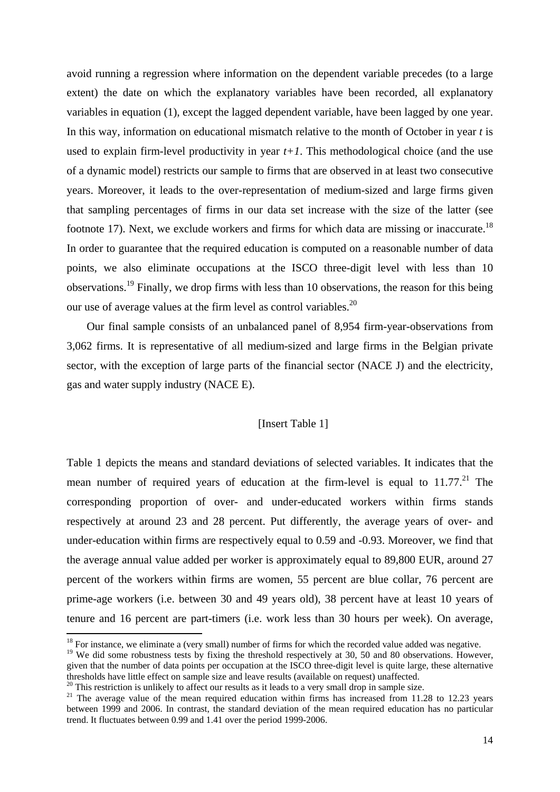avoid running a regression where information on the dependent variable precedes (to a large extent) the date on which the explanatory variables have been recorded, all explanatory variables in equation (1), except the lagged dependent variable, have been lagged by one year. In this way, information on educational mismatch relative to the month of October in year *t* is used to explain firm-level productivity in year  $t+1$ . This methodological choice (and the use of a dynamic model) restricts our sample to firms that are observed in at least two consecutive years. Moreover, it leads to the over-representation of medium-sized and large firms given that sampling percentages of firms in our data set increase with the size of the latter (see footnote 17). Next, we exclude workers and firms for which data are missing or inaccurate.<sup>18</sup> In order to guarantee that the required education is computed on a reasonable number of data points, we also eliminate occupations at the ISCO three-digit level with less than 10 observations.19 Finally, we drop firms with less than 10 observations, the reason for this being our use of average values at the firm level as control variables.<sup>20</sup>

Our final sample consists of an unbalanced panel of 8,954 firm-year-observations from 3,062 firms. It is representative of all medium-sized and large firms in the Belgian private sector, with the exception of large parts of the financial sector (NACE J) and the electricity, gas and water supply industry (NACE E).

#### [Insert Table 1]

Table 1 depicts the means and standard deviations of selected variables. It indicates that the mean number of required years of education at the firm-level is equal to  $11.77<sup>21</sup>$ . The corresponding proportion of over- and under-educated workers within firms stands respectively at around 23 and 28 percent. Put differently, the average years of over- and under-education within firms are respectively equal to 0.59 and -0.93. Moreover, we find that the average annual value added per worker is approximately equal to 89,800 EUR, around 27 percent of the workers within firms are women, 55 percent are blue collar, 76 percent are prime-age workers (i.e. between 30 and 49 years old), 38 percent have at least 10 years of tenure and 16 percent are part-timers (i.e. work less than 30 hours per week). On average,

 $18$  For instance, we eliminate a (very small) number of firms for which the recorded value added was negative.

<sup>&</sup>lt;sup>19</sup> We did some robustness tests by fixing the threshold respectively at 30, 50 and 80 observations. However, given that the number of data points per occupation at the ISCO three-digit level is quite large, these alternative thresholds have little effect on sample size and leave results (available on request) unaffected.

 $t^{20}$  This restriction is unlikely to affect our results as it leads to a very small drop in sample size.

 $21$  The average value of the mean required education within firms has increased from 11.28 to 12.23 years between 1999 and 2006. In contrast, the standard deviation of the mean required education has no particular trend. It fluctuates between 0.99 and 1.41 over the period 1999-2006.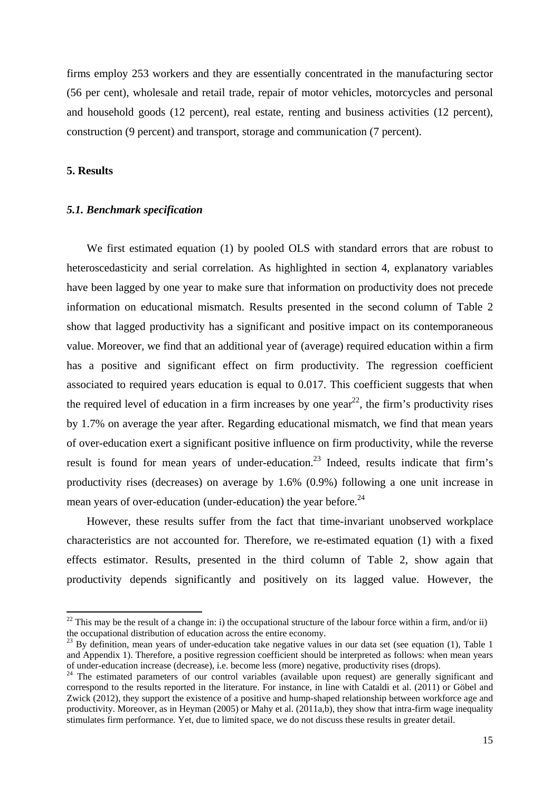firms employ 253 workers and they are essentially concentrated in the manufacturing sector (56 per cent), wholesale and retail trade, repair of motor vehicles, motorcycles and personal and household goods (12 percent), real estate, renting and business activities (12 percent), construction (9 percent) and transport, storage and communication (7 percent).

#### **5. Results**

#### *5.1. Benchmark specification*

We first estimated equation (1) by pooled OLS with standard errors that are robust to heteroscedasticity and serial correlation. As highlighted in section 4, explanatory variables have been lagged by one year to make sure that information on productivity does not precede information on educational mismatch. Results presented in the second column of Table 2 show that lagged productivity has a significant and positive impact on its contemporaneous value. Moreover, we find that an additional year of (average) required education within a firm has a positive and significant effect on firm productivity. The regression coefficient associated to required years education is equal to 0.017. This coefficient suggests that when the required level of education in a firm increases by one year<sup>22</sup>, the firm's productivity rises by 1.7% on average the year after. Regarding educational mismatch, we find that mean years of over-education exert a significant positive influence on firm productivity, while the reverse result is found for mean years of under-education.<sup>23</sup> Indeed, results indicate that firm's productivity rises (decreases) on average by 1.6% (0.9%) following a one unit increase in mean years of over-education (under-education) the year before.<sup>24</sup>

However, these results suffer from the fact that time-invariant unobserved workplace characteristics are not accounted for. Therefore, we re-estimated equation (1) with a fixed effects estimator. Results, presented in the third column of Table 2, show again that productivity depends significantly and positively on its lagged value. However, the

<sup>&</sup>lt;sup>22</sup> This may be the result of a change in: i) the occupational structure of the labour force within a firm, and/or ii) the occupational distribution of education across the entire economy.

<sup>&</sup>lt;sup>23</sup> By definition, mean years of under-education take negative values in our data set (see equation (1). Table 1 and Appendix 1). Therefore, a positive regression coefficient should be interpreted as follows: when mean years of under-education increase (decrease), i.e. become less (more) negative, productivity rises (drops).

<sup>&</sup>lt;sup>24</sup> The estimated parameters of our control variables (available upon request) are generally significant and correspond to the results reported in the literature. For instance, in line with Cataldi et al. (2011) or Göbel and Zwick (2012), they support the existence of a positive and hump-shaped relationship between workforce age and productivity. Moreover, as in Heyman (2005) or Mahy et al. (2011a,b), they show that intra-firm wage inequality stimulates firm performance. Yet, due to limited space, we do not discuss these results in greater detail.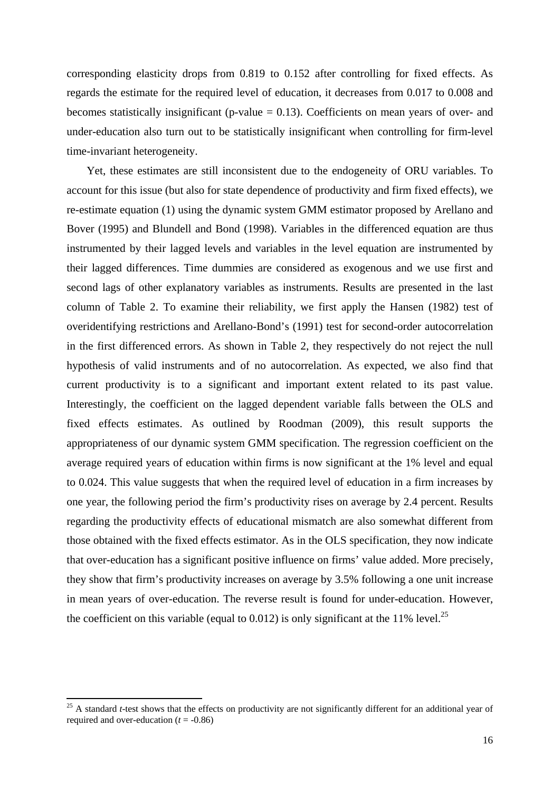corresponding elasticity drops from 0.819 to 0.152 after controlling for fixed effects. As regards the estimate for the required level of education, it decreases from 0.017 to 0.008 and becomes statistically insignificant (p-value  $= 0.13$ ). Coefficients on mean years of over- and under-education also turn out to be statistically insignificant when controlling for firm-level time-invariant heterogeneity.

Yet, these estimates are still inconsistent due to the endogeneity of ORU variables. To account for this issue (but also for state dependence of productivity and firm fixed effects), we re-estimate equation (1) using the dynamic system GMM estimator proposed by Arellano and Bover (1995) and Blundell and Bond (1998). Variables in the differenced equation are thus instrumented by their lagged levels and variables in the level equation are instrumented by their lagged differences. Time dummies are considered as exogenous and we use first and second lags of other explanatory variables as instruments. Results are presented in the last column of Table 2. To examine their reliability, we first apply the Hansen (1982) test of overidentifying restrictions and Arellano-Bond's (1991) test for second-order autocorrelation in the first differenced errors. As shown in Table 2, they respectively do not reject the null hypothesis of valid instruments and of no autocorrelation. As expected, we also find that current productivity is to a significant and important extent related to its past value. Interestingly, the coefficient on the lagged dependent variable falls between the OLS and fixed effects estimates. As outlined by Roodman (2009), this result supports the appropriateness of our dynamic system GMM specification. The regression coefficient on the average required years of education within firms is now significant at the 1% level and equal to 0.024. This value suggests that when the required level of education in a firm increases by one year, the following period the firm's productivity rises on average by 2.4 percent. Results regarding the productivity effects of educational mismatch are also somewhat different from those obtained with the fixed effects estimator. As in the OLS specification, they now indicate that over-education has a significant positive influence on firms' value added. More precisely, they show that firm's productivity increases on average by 3.5% following a one unit increase in mean years of over-education. The reverse result is found for under-education. However, the coefficient on this variable (equal to 0.012) is only significant at the 11% level.<sup>25</sup>

<sup>&</sup>lt;sup>25</sup> A standard *t*-test shows that the effects on productivity are not significantly different for an additional year of required and over-education  $(t = -0.86)$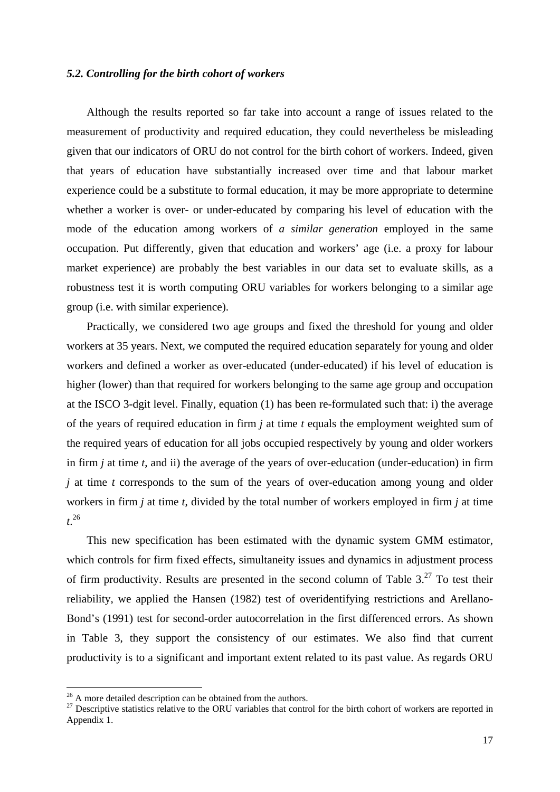#### *5.2. Controlling for the birth cohort of workers*

Although the results reported so far take into account a range of issues related to the measurement of productivity and required education, they could nevertheless be misleading given that our indicators of ORU do not control for the birth cohort of workers. Indeed, given that years of education have substantially increased over time and that labour market experience could be a substitute to formal education, it may be more appropriate to determine whether a worker is over- or under-educated by comparing his level of education with the mode of the education among workers of *a similar generation* employed in the same occupation. Put differently, given that education and workers' age (i.e. a proxy for labour market experience) are probably the best variables in our data set to evaluate skills, as a robustness test it is worth computing ORU variables for workers belonging to a similar age group (i.e. with similar experience).

Practically, we considered two age groups and fixed the threshold for young and older workers at 35 years. Next, we computed the required education separately for young and older workers and defined a worker as over-educated (under-educated) if his level of education is higher (lower) than that required for workers belonging to the same age group and occupation at the ISCO 3-dgit level. Finally, equation (1) has been re-formulated such that: i) the average of the years of required education in firm *j* at time *t* equals the employment weighted sum of the required years of education for all jobs occupied respectively by young and older workers in firm *j* at time *t*, and ii) the average of the years of over-education (under-education) in firm *j* at time *t* corresponds to the sum of the years of over-education among young and older workers in firm *j* at time *t*, divided by the total number of workers employed in firm *j* at time *t*. 26

This new specification has been estimated with the dynamic system GMM estimator, which controls for firm fixed effects, simultaneity issues and dynamics in adjustment process of firm productivity. Results are presented in the second column of Table  $3.^{27}$  To test their reliability, we applied the Hansen (1982) test of overidentifying restrictions and Arellano-Bond's (1991) test for second-order autocorrelation in the first differenced errors. As shown in Table 3, they support the consistency of our estimates. We also find that current productivity is to a significant and important extent related to its past value. As regards ORU

<sup>&</sup>lt;sup>26</sup> A more detailed description can be obtained from the authors.

 $27$  Descriptive statistics relative to the ORU variables that control for the birth cohort of workers are reported in Appendix 1.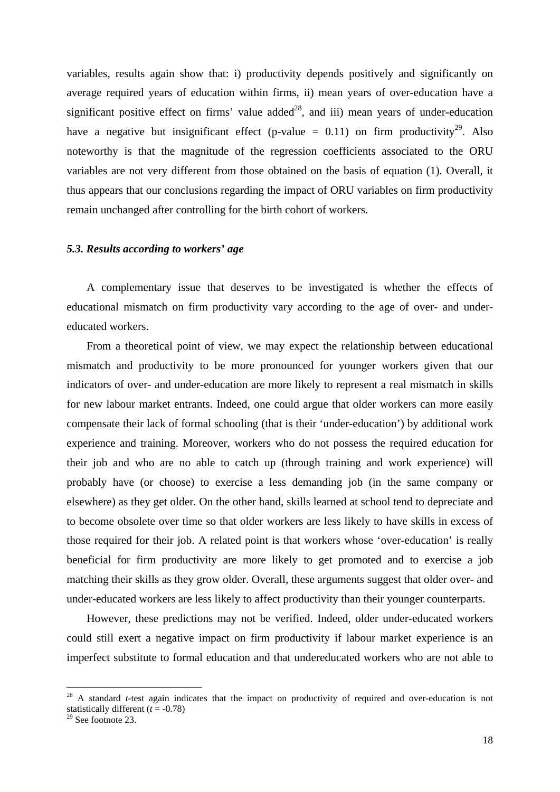variables, results again show that: i) productivity depends positively and significantly on average required years of education within firms, ii) mean years of over-education have a significant positive effect on firms' value added<sup>28</sup>, and iii) mean years of under-education have a negative but insignificant effect (p-value = 0.11) on firm productivity<sup>29</sup>. Also noteworthy is that the magnitude of the regression coefficients associated to the ORU variables are not very different from those obtained on the basis of equation (1). Overall, it thus appears that our conclusions regarding the impact of ORU variables on firm productivity remain unchanged after controlling for the birth cohort of workers.

#### *5.3. Results according to workers' age*

A complementary issue that deserves to be investigated is whether the effects of educational mismatch on firm productivity vary according to the age of over- and undereducated workers.

From a theoretical point of view, we may expect the relationship between educational mismatch and productivity to be more pronounced for younger workers given that our indicators of over- and under-education are more likely to represent a real mismatch in skills for new labour market entrants. Indeed, one could argue that older workers can more easily compensate their lack of formal schooling (that is their 'under-education') by additional work experience and training. Moreover, workers who do not possess the required education for their job and who are no able to catch up (through training and work experience) will probably have (or choose) to exercise a less demanding job (in the same company or elsewhere) as they get older. On the other hand, skills learned at school tend to depreciate and to become obsolete over time so that older workers are less likely to have skills in excess of those required for their job. A related point is that workers whose 'over-education' is really beneficial for firm productivity are more likely to get promoted and to exercise a job matching their skills as they grow older. Overall, these arguments suggest that older over- and under-educated workers are less likely to affect productivity than their younger counterparts.

However, these predictions may not be verified. Indeed, older under-educated workers could still exert a negative impact on firm productivity if labour market experience is an imperfect substitute to formal education and that undereducated workers who are not able to

<sup>&</sup>lt;sup>28</sup> A standard *t*-test again indicates that the impact on productivity of required and over-education is not statistically different  $(t = -0.78)$ 

 $29$  See footnote 23.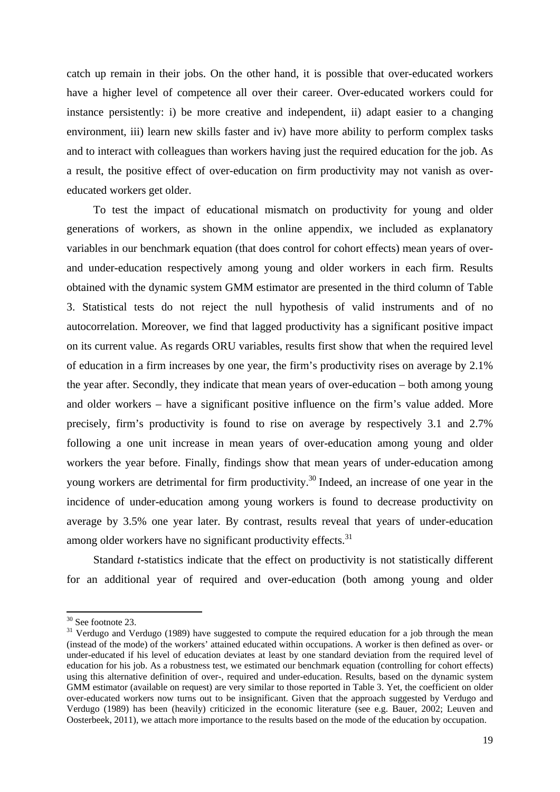catch up remain in their jobs. On the other hand, it is possible that over-educated workers have a higher level of competence all over their career. Over-educated workers could for instance persistently: i) be more creative and independent, ii) adapt easier to a changing environment, iii) learn new skills faster and iv) have more ability to perform complex tasks and to interact with colleagues than workers having just the required education for the job. As a result, the positive effect of over-education on firm productivity may not vanish as overeducated workers get older.

To test the impact of educational mismatch on productivity for young and older generations of workers, as shown in the online appendix, we included as explanatory variables in our benchmark equation (that does control for cohort effects) mean years of overand under-education respectively among young and older workers in each firm. Results obtained with the dynamic system GMM estimator are presented in the third column of Table 3. Statistical tests do not reject the null hypothesis of valid instruments and of no autocorrelation. Moreover, we find that lagged productivity has a significant positive impact on its current value. As regards ORU variables, results first show that when the required level of education in a firm increases by one year, the firm's productivity rises on average by 2.1% the year after. Secondly, they indicate that mean years of over-education – both among young and older workers – have a significant positive influence on the firm's value added. More precisely, firm's productivity is found to rise on average by respectively 3.1 and 2.7% following a one unit increase in mean years of over-education among young and older workers the year before. Finally, findings show that mean years of under-education among young workers are detrimental for firm productivity.<sup>30</sup> Indeed, an increase of one year in the incidence of under-education among young workers is found to decrease productivity on average by 3.5% one year later. By contrast, results reveal that years of under-education among older workers have no significant productivity effects.<sup>31</sup>

Standard *t*-statistics indicate that the effect on productivity is not statistically different for an additional year of required and over-education (both among young and older

<sup>30</sup> See footnote 23.

<sup>&</sup>lt;sup>31</sup> Verdugo and Verdugo (1989) have suggested to compute the required education for a job through the mean (instead of the mode) of the workers' attained educated within occupations. A worker is then defined as over- or under-educated if his level of education deviates at least by one standard deviation from the required level of education for his job. As a robustness test, we estimated our benchmark equation (controlling for cohort effects) using this alternative definition of over-, required and under-education. Results, based on the dynamic system GMM estimator (available on request) are very similar to those reported in Table 3. Yet, the coefficient on older over-educated workers now turns out to be insignificant. Given that the approach suggested by Verdugo and Verdugo (1989) has been (heavily) criticized in the economic literature (see e.g. Bauer, 2002; Leuven and Oosterbeek, 2011), we attach more importance to the results based on the mode of the education by occupation.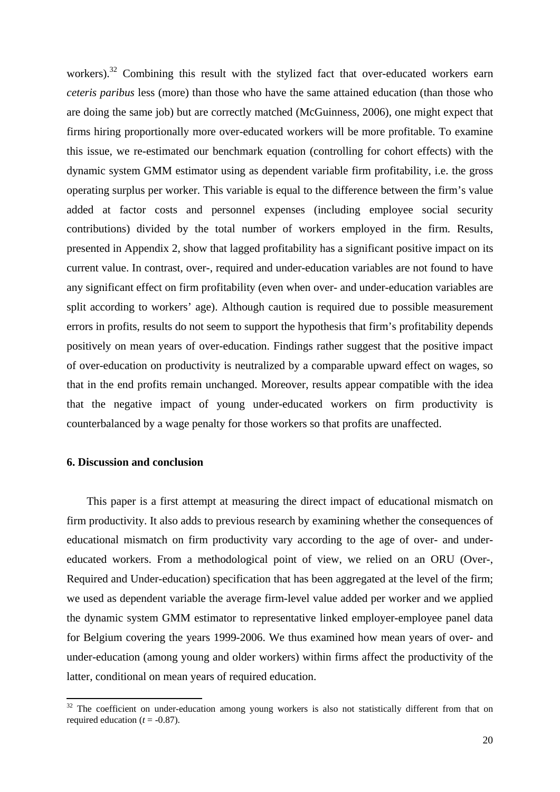workers).<sup>32</sup> Combining this result with the stylized fact that over-educated workers earn *ceteris paribus* less (more) than those who have the same attained education (than those who are doing the same job) but are correctly matched (McGuinness, 2006), one might expect that firms hiring proportionally more over-educated workers will be more profitable. To examine this issue, we re-estimated our benchmark equation (controlling for cohort effects) with the dynamic system GMM estimator using as dependent variable firm profitability, i.e. the gross operating surplus per worker. This variable is equal to the difference between the firm's value added at factor costs and personnel expenses (including employee social security contributions) divided by the total number of workers employed in the firm. Results, presented in Appendix 2, show that lagged profitability has a significant positive impact on its current value. In contrast, over-, required and under-education variables are not found to have any significant effect on firm profitability (even when over- and under-education variables are split according to workers' age). Although caution is required due to possible measurement errors in profits, results do not seem to support the hypothesis that firm's profitability depends positively on mean years of over-education. Findings rather suggest that the positive impact of over-education on productivity is neutralized by a comparable upward effect on wages, so that in the end profits remain unchanged. Moreover, results appear compatible with the idea that the negative impact of young under-educated workers on firm productivity is counterbalanced by a wage penalty for those workers so that profits are unaffected.

#### **6. Discussion and conclusion**

This paper is a first attempt at measuring the direct impact of educational mismatch on firm productivity. It also adds to previous research by examining whether the consequences of educational mismatch on firm productivity vary according to the age of over- and undereducated workers. From a methodological point of view, we relied on an ORU (Over-, Required and Under-education) specification that has been aggregated at the level of the firm; we used as dependent variable the average firm-level value added per worker and we applied the dynamic system GMM estimator to representative linked employer-employee panel data for Belgium covering the years 1999-2006. We thus examined how mean years of over- and under-education (among young and older workers) within firms affect the productivity of the latter, conditional on mean years of required education.

 $32$  The coefficient on under-education among young workers is also not statistically different from that on required education  $(t = -0.87)$ .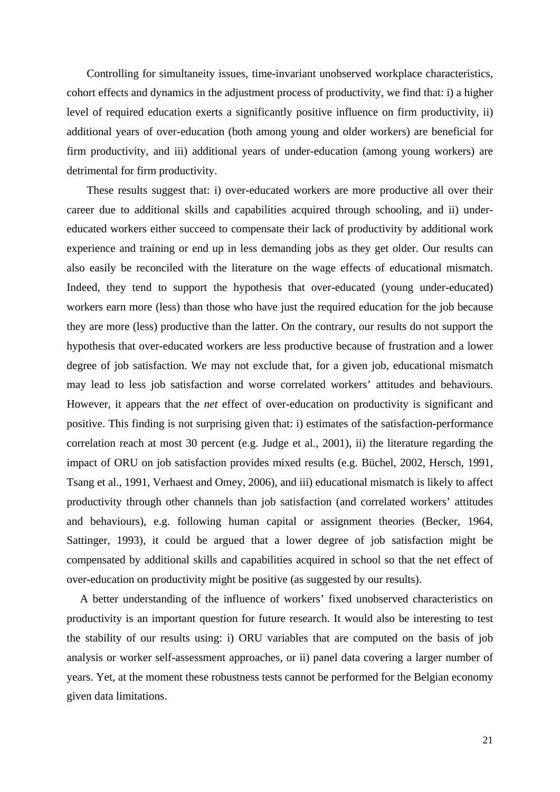Controlling for simultaneity issues, time-invariant unobserved workplace characteristics, cohort effects and dynamics in the adjustment process of productivity, we find that: i) a higher level of required education exerts a significantly positive influence on firm productivity, ii) additional years of over-education (both among young and older workers) are beneficial for firm productivity, and iii) additional years of under-education (among young workers) are detrimental for firm productivity.

These results suggest that: i) over-educated workers are more productive all over their career due to additional skills and capabilities acquired through schooling, and ii) undereducated workers either succeed to compensate their lack of productivity by additional work experience and training or end up in less demanding jobs as they get older. Our results can also easily be reconciled with the literature on the wage effects of educational mismatch. Indeed, they tend to support the hypothesis that over-educated (young under-educated) workers earn more (less) than those who have just the required education for the job because they are more (less) productive than the latter. On the contrary, our results do not support the hypothesis that over-educated workers are less productive because of frustration and a lower degree of job satisfaction. We may not exclude that, for a given job, educational mismatch may lead to less job satisfaction and worse correlated workers' attitudes and behaviours. However, it appears that the *net* effect of over-education on productivity is significant and positive. This finding is not surprising given that: i) estimates of the satisfaction-performance correlation reach at most 30 percent (e.g. Judge et al., 2001), ii) the literature regarding the impact of ORU on job satisfaction provides mixed results (e.g. Büchel, 2002, Hersch, 1991, Tsang et al., 1991, Verhaest and Omey, 2006), and iii) educational mismatch is likely to affect productivity through other channels than job satisfaction (and correlated workers' attitudes and behaviours), e.g. following human capital or assignment theories (Becker, 1964, Sattinger, 1993), it could be argued that a lower degree of job satisfaction might be compensated by additional skills and capabilities acquired in school so that the net effect of over-education on productivity might be positive (as suggested by our results).

A better understanding of the influence of workers' fixed unobserved characteristics on productivity is an important question for future research. It would also be interesting to test the stability of our results using: i) ORU variables that are computed on the basis of job analysis or worker self-assessment approaches, or ii) panel data covering a larger number of years. Yet, at the moment these robustness tests cannot be performed for the Belgian economy given data limitations.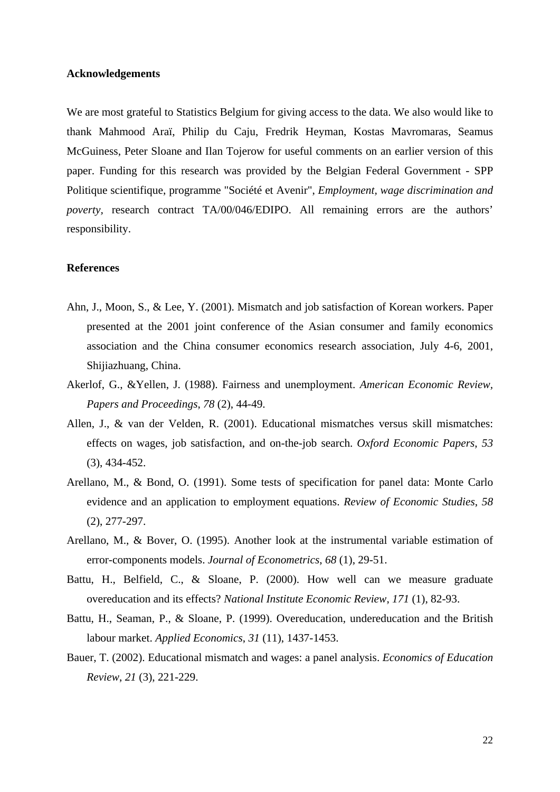#### **Acknowledgements**

We are most grateful to Statistics Belgium for giving access to the data. We also would like to thank Mahmood Araï, Philip du Caju, Fredrik Heyman, Kostas Mavromaras, Seamus McGuiness, Peter Sloane and Ilan Tojerow for useful comments on an earlier version of this paper. Funding for this research was provided by the Belgian Federal Government - SPP Politique scientifique, programme "Société et Avenir", *Employment, wage discrimination and poverty,* research contract TA/00/046/EDIPO. All remaining errors are the authors' responsibility.

#### **References**

- Ahn, J., Moon, S., & Lee, Y. (2001). Mismatch and job satisfaction of Korean workers. Paper presented at the 2001 joint conference of the Asian consumer and family economics association and the China consumer economics research association, July 4-6, 2001, Shijiazhuang, China.
- Akerlof, G., &Yellen, J. (1988). Fairness and unemployment. *American Economic Review, Papers and Proceedings*, *78* (2), 44-49.
- Allen, J., & van der Velden, R. (2001). Educational mismatches versus skill mismatches: effects on wages, job satisfaction, and on-the-job search. *Oxford Economic Papers*, *53* (3), 434-452.
- Arellano, M., & Bond, O. (1991). Some tests of specification for panel data: Monte Carlo evidence and an application to employment equations. *Review of Economic Studies*, *58* (2), 277-297.
- Arellano, M., & Bover, O. (1995). Another look at the instrumental variable estimation of error-components models. *Journal of Econometrics*, *68* (1), 29-51.
- Battu, H., Belfield, C., & Sloane, P. (2000). How well can we measure graduate overeducation and its effects? *National Institute Economic Review*, *171* (1), 82-93.
- Battu, H., Seaman, P., & Sloane, P. (1999). Overeducation, undereducation and the British labour market. *Applied Economics*, *31* (11), 1437-1453.
- Bauer, T. (2002). Educational mismatch and wages: a panel analysis. *Economics of Education Review*, *21* (3), 221-229.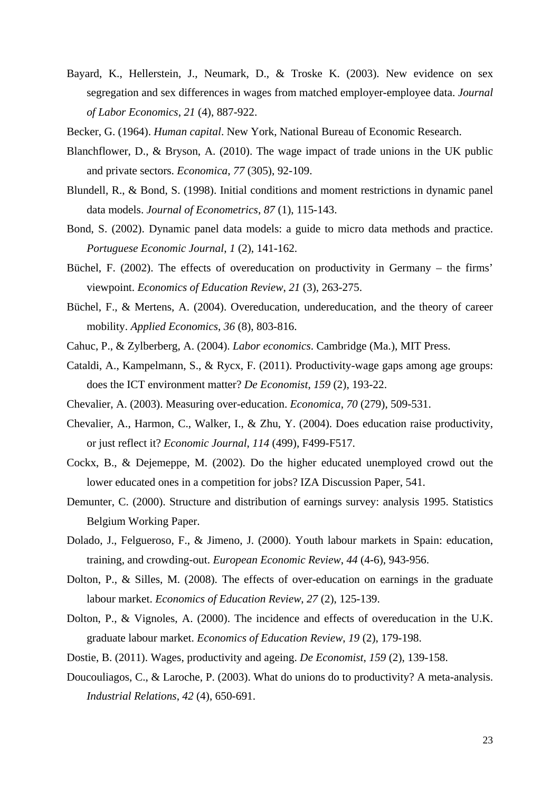- Bayard, K., Hellerstein, J., Neumark, D., & Troske K. (2003). New evidence on sex segregation and sex differences in wages from matched employer-employee data. *Journal of Labor Economics*, *21* (4), 887-922.
- Becker, G. (1964). *Human capital*. New York, National Bureau of Economic Research.
- Blanchflower, D., & Bryson, A. (2010). The wage impact of trade unions in the UK public and private sectors. *Economica*, *77* (305), 92-109.
- Blundell, R., & Bond, S. (1998). Initial conditions and moment restrictions in dynamic panel data models. *Journal of Econometrics*, *87* (1), 115-143.
- Bond, S. (2002). Dynamic panel data models: a guide to micro data methods and practice. *Portuguese Economic Journal*, *1* (2), 141-162.
- Büchel, F. (2002). The effects of overeducation on productivity in Germany the firms' viewpoint. *Economics of Education Review*, *21* (3), 263-275.
- Büchel, F., & Mertens, A. (2004). Overeducation, undereducation, and the theory of career mobility. *Applied Economics*, *36* (8), 803-816.
- Cahuc, P., & Zylberberg, A. (2004). *Labor economics*. Cambridge (Ma.), MIT Press.
- Cataldi, A., Kampelmann, S., & Rycx, F. (2011). Productivity-wage gaps among age groups: does the ICT environment matter? *De Economist*, *159* (2), 193-22.
- Chevalier, A. (2003). Measuring over-education. *Economica*, *70* (279), 509-531.
- Chevalier, A., Harmon, C., Walker, I., & Zhu, Y. (2004). Does education raise productivity, or just reflect it? *Economic Journal*, *114* (499), F499-F517.
- Cockx, B., & Dejemeppe, M. (2002). Do the higher educated unemployed crowd out the lower educated ones in a competition for jobs? IZA Discussion Paper, 541.
- Demunter, C. (2000). Structure and distribution of earnings survey: analysis 1995. Statistics Belgium Working Paper.
- Dolado, J., Felgueroso, F., & Jimeno, J. (2000). Youth labour markets in Spain: education, training, and crowding-out. *European Economic Review*, *44* (4-6), 943-956.
- Dolton, P., & Silles, M. (2008). The effects of over-education on earnings in the graduate labour market. *Economics of Education Review*, *27* (2), 125-139.
- Dolton, P., & Vignoles, A. (2000). The incidence and effects of overeducation in the U.K. graduate labour market. *Economics of Education Review*, *19* (2), 179-198.
- Dostie, B. (2011). Wages, productivity and ageing. *De Economist*, *159* (2), 139-158.
- Doucouliagos, C., & Laroche, P. (2003). What do unions do to productivity? A meta-analysis. *Industrial Relations*, *42* (4), 650-691.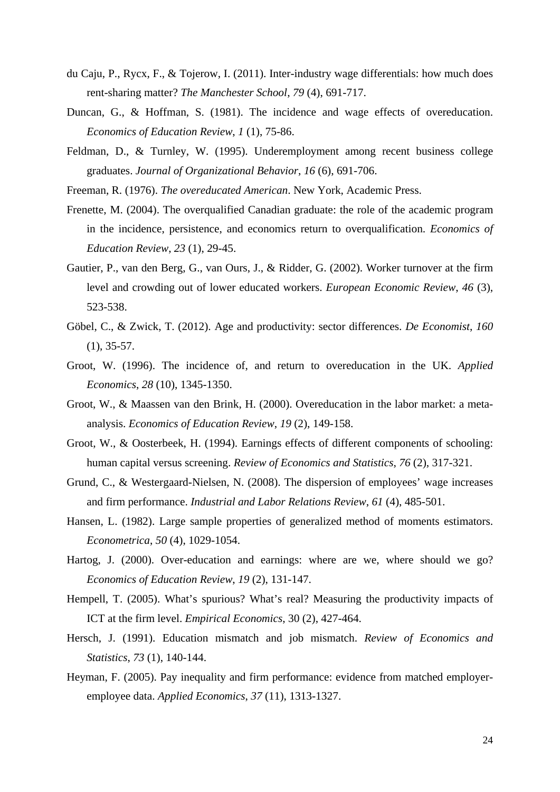- du Caju, P., Rycx, F., & Tojerow, I. (2011). Inter-industry wage differentials: how much does rent-sharing matter? *The Manchester School*, *79* (4), 691-717.
- Duncan, G., & Hoffman, S. (1981). The incidence and wage effects of overeducation. *Economics of Education Review*, *1* (1), 75-86.
- Feldman, D., & Turnley, W. (1995). Underemployment among recent business college graduates. *Journal of Organizational Behavior*, *16* (6), 691-706.
- Freeman, R. (1976). *The overeducated American*. New York, Academic Press.
- Frenette, M. (2004). The overqualified Canadian graduate: the role of the academic program in the incidence, persistence, and economics return to overqualification. *Economics of Education Review*, *23* (1), 29-45.
- Gautier, P., van den Berg, G., van Ours, J., & Ridder, G. (2002). Worker turnover at the firm level and crowding out of lower educated workers. *European Economic Review*, *46* (3), 523-538.
- Göbel, C., & Zwick, T. (2012). Age and productivity: sector differences. *De Economist*, *160* (1), 35-57.
- Groot, W. (1996). The incidence of, and return to overeducation in the UK. *Applied Economics*, *28* (10), 1345-1350.
- Groot, W., & Maassen van den Brink, H. (2000). Overeducation in the labor market: a metaanalysis. *Economics of Education Review*, *19* (2), 149-158.
- Groot, W., & Oosterbeek, H. (1994). Earnings effects of different components of schooling: human capital versus screening. *Review of Economics and Statistics*, *76* (2), 317-321.
- Grund, C., & Westergaard-Nielsen, N. (2008). The dispersion of employees' wage increases and firm performance. *Industrial and Labor Relations Review*, *61* (4), 485-501.
- Hansen, L. (1982). Large sample properties of generalized method of moments estimators. *Econometrica*, *50* (4), 1029-1054.
- Hartog, J. (2000). Over-education and earnings: where are we, where should we go? *Economics of Education Review*, *19* (2), 131-147.
- Hempell, T. (2005). What's spurious? What's real? Measuring the productivity impacts of ICT at the firm level. *Empirical Economics*, 30 (2), 427-464.
- Hersch, J. (1991). Education mismatch and job mismatch. *Review of Economics and Statistics*, *73* (1), 140-144.
- Heyman, F. (2005). Pay inequality and firm performance: evidence from matched employeremployee data. *Applied Economics*, *37* (11), 1313-1327.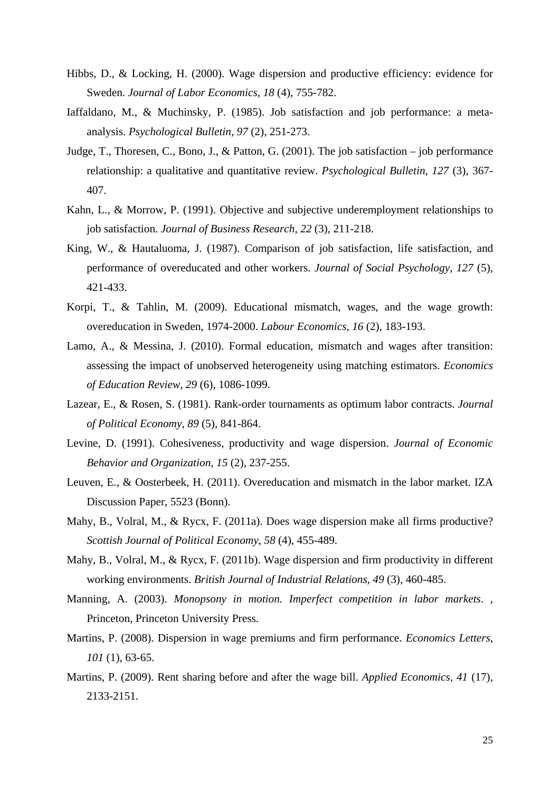- Hibbs, D., & Locking, H. (2000). Wage dispersion and productive efficiency: evidence for Sweden. *Journal of Labor Economics*, *18* (4), 755-782.
- Iaffaldano, M., & Muchinsky, P. (1985). Job satisfaction and job performance: a metaanalysis. *Psychological Bulletin*, *97* (2), 251-273.
- Judge, T., Thoresen, C., Bono, J., & Patton, G. (2001). The job satisfaction job performance relationship: a qualitative and quantitative review. *Psychological Bulletin*, *127* (3), 367- 407.
- Kahn, L., & Morrow, P. (1991). Objective and subjective underemployment relationships to job satisfaction. *Journal of Business Research*, *22* (3), 211-218.
- King, W., & Hautaluoma, J. (1987). Comparison of job satisfaction, life satisfaction, and performance of overeducated and other workers. *Journal of Social Psychology*, *127* (5), 421-433.
- Korpi, T., & Tahlin, M. (2009). Educational mismatch, wages, and the wage growth: overeducation in Sweden, 1974-2000. *Labour Economics*, *16* (2), 183-193.
- Lamo, A., & Messina, J. (2010). Formal education, mismatch and wages after transition: assessing the impact of unobserved heterogeneity using matching estimators. *Economics of Education Review*, *29* (6), 1086-1099.
- Lazear, E., & Rosen, S. (1981). Rank-order tournaments as optimum labor contracts. *Journal of Political Economy*, *89* (5), 841-864.
- Levine, D. (1991). Cohesiveness, productivity and wage dispersion. *Journal of Economic Behavior and Organization*, *15* (2), 237-255.
- Leuven, E., & Oosterbeek, H. (2011). Overeducation and mismatch in the labor market. IZA Discussion Paper, 5523 (Bonn).
- Mahy, B., Volral, M., & Rycx, F. (2011a). Does wage dispersion make all firms productive? *Scottish Journal of Political Economy*, *58* (4), 455-489.
- Mahy, B., Volral, M., & Rycx, F. (2011b). Wage dispersion and firm productivity in different working environments. *British Journal of Industrial Relations*, *49* (3), 460-485.
- Manning, A. (2003). *Monopsony in motion. Imperfect competition in labor markets*. , Princeton, Princeton University Press.
- Martins, P. (2008). Dispersion in wage premiums and firm performance. *Economics Letters*, *101* (1), 63-65.
- Martins, P. (2009). Rent sharing before and after the wage bill. *Applied Economics*, *41* (17), 2133-2151.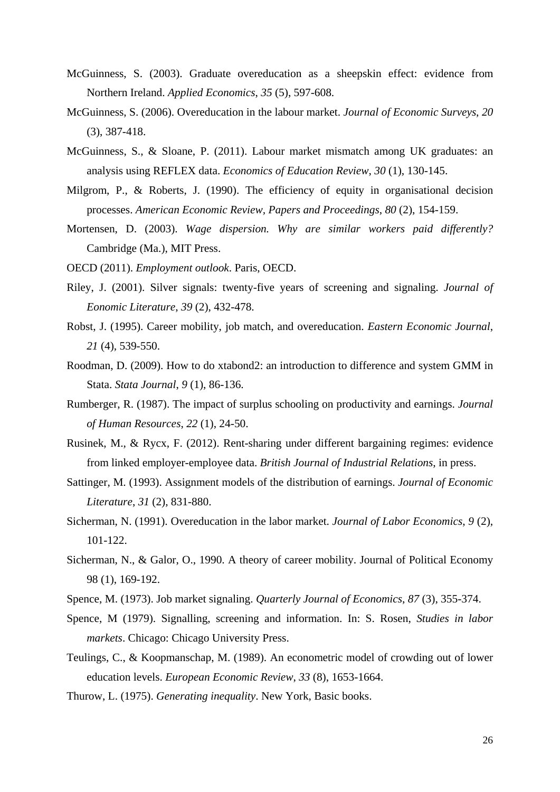- McGuinness, S. (2003). Graduate overeducation as a sheepskin effect: evidence from Northern Ireland. *Applied Economics*, *35* (5), 597-608.
- McGuinness, S. (2006). Overeducation in the labour market. *Journal of Economic Surveys*, *20* (3), 387-418.
- McGuinness, S., & Sloane, P. (2011). Labour market mismatch among UK graduates: an analysis using REFLEX data. *Economics of Education Review*, *30* (1), 130-145.
- Milgrom, P., & Roberts, J. (1990). The efficiency of equity in organisational decision processes. *American Economic Review, Papers and Proceedings*, *80* (2), 154-159.
- Mortensen, D. (2003). *Wage dispersion. Why are similar workers paid differently?* Cambridge (Ma.), MIT Press.
- OECD (2011). *Employment outlook*. Paris, OECD.
- Riley, J. (2001). Silver signals: twenty-five years of screening and signaling. *Journal of Eonomic Literature*, *39* (2), 432-478.
- Robst, J. (1995). Career mobility, job match, and overeducation. *Eastern Economic Journal*, *21* (4), 539-550.
- Roodman, D. (2009). How to do xtabond2: an introduction to difference and system GMM in Stata. *Stata Journal*, *9* (1), 86-136.
- Rumberger, R. (1987). The impact of surplus schooling on productivity and earnings. *Journal of Human Resources*, *22* (1), 24-50.
- Rusinek, M., & Rycx, F. (2012). Rent-sharing under different bargaining regimes: evidence from linked employer-employee data. *British Journal of Industrial Relations*, in press.
- Sattinger, M. (1993). Assignment models of the distribution of earnings. *Journal of Economic Literature*, *31* (2), 831-880.
- Sicherman, N. (1991). Overeducation in the labor market. *Journal of Labor Economics*, *9* (2), 101-122.
- Sicherman, N., & Galor, O., 1990. A theory of career mobility. Journal of Political Economy 98 (1), 169-192.
- Spence, M. (1973). Job market signaling. *Quarterly Journal of Economics*, *87* (3), 355-374.
- Spence, M (1979). Signalling, screening and information. In: S. Rosen, *Studies in labor markets*. Chicago: Chicago University Press.
- Teulings, C., & Koopmanschap, M. (1989). An econometric model of crowding out of lower education levels. *European Economic Review*, *33* (8), 1653-1664.
- Thurow, L. (1975). *Generating inequality*. New York, Basic books.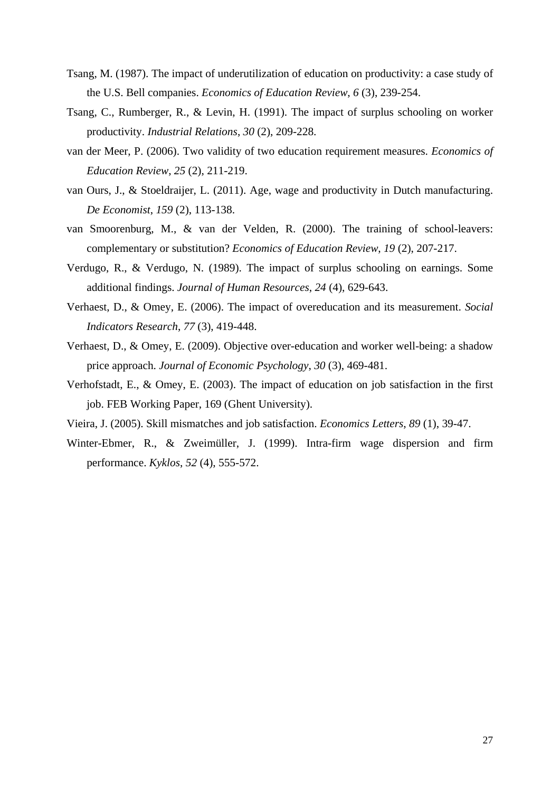- Tsang, M. (1987). The impact of underutilization of education on productivity: a case study of the U.S. Bell companies. *Economics of Education Review*, *6* (3), 239-254.
- Tsang, C., Rumberger, R., & Levin, H. (1991). The impact of surplus schooling on worker productivity. *Industrial Relations*, *30* (2), 209-228.
- van der Meer, P. (2006). Two validity of two education requirement measures. *Economics of Education Review*, *25* (2), 211-219.
- van Ours, J., & Stoeldraijer, L. (2011). Age, wage and productivity in Dutch manufacturing. *De Economist*, *159* (2), 113-138.
- van Smoorenburg, M., & van der Velden, R. (2000). The training of school-leavers: complementary or substitution? *Economics of Education Review*, *19* (2), 207-217.
- Verdugo, R., & Verdugo, N. (1989). The impact of surplus schooling on earnings. Some additional findings. *Journal of Human Resources*, *24* (4), 629-643.
- Verhaest, D., & Omey, E. (2006). The impact of overeducation and its measurement. *Social Indicators Research*, *77* (3), 419-448.
- Verhaest, D., & Omey, E. (2009). Objective over-education and worker well-being: a shadow price approach. *Journal of Economic Psychology*, *30* (3), 469-481.
- Verhofstadt, E., & Omey, E. (2003). The impact of education on job satisfaction in the first job. FEB Working Paper, 169 (Ghent University).
- Vieira, J. (2005). Skill mismatches and job satisfaction. *Economics Letters*, *89* (1), 39-47.
- Winter-Ebmer, R., & Zweimüller, J. (1999). Intra-firm wage dispersion and firm performance. *Kyklos*, *52* (4), 555-572.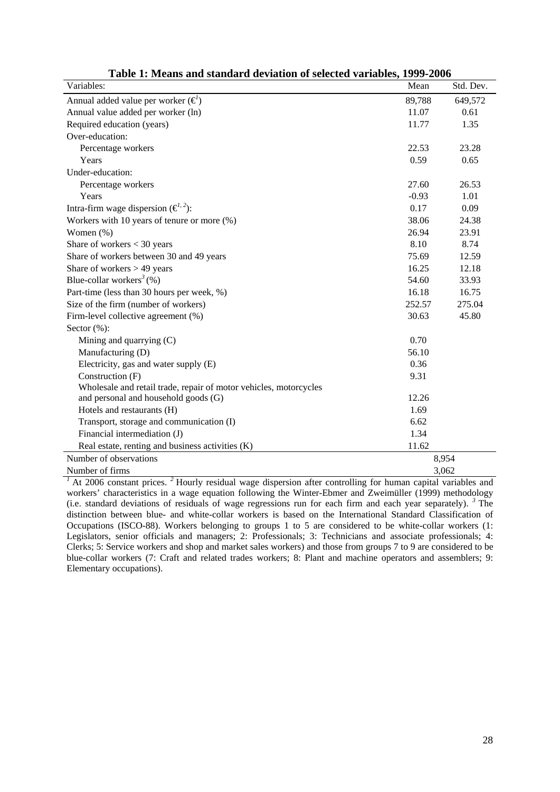| Table 1. Means and standard deviation of selected variables, 1777-2000 |         |           |
|------------------------------------------------------------------------|---------|-----------|
| Variables:                                                             | Mean    | Std. Dev. |
| Annual added value per worker $(\epsilon)$                             | 89,788  | 649,572   |
| Annual value added per worker (ln)                                     | 11.07   | 0.61      |
| Required education (years)                                             | 11.77   | 1.35      |
| Over-education:                                                        |         |           |
| Percentage workers                                                     | 22.53   | 23.28     |
| Years                                                                  | 0.59    | 0.65      |
| Under-education:                                                       |         |           |
| Percentage workers                                                     | 27.60   | 26.53     |
| Years                                                                  | $-0.93$ | 1.01      |
| Intra-firm wage dispersion $(\xi^{1,2})$ :                             | 0.17    | 0.09      |
| Workers with 10 years of tenure or more $(\%)$                         | 38.06   | 24.38     |
| Women (%)                                                              | 26.94   | 23.91     |
| Share of workers $<$ 30 years                                          | 8.10    | 8.74      |
| Share of workers between 30 and 49 years                               | 75.69   | 12.59     |
| Share of workers $> 49$ years                                          | 16.25   | 12.18     |
| Blue-collar workers <sup>3</sup> $(%)$                                 | 54.60   | 33.93     |
| Part-time (less than 30 hours per week, %)                             | 16.18   | 16.75     |
| Size of the firm (number of workers)                                   | 252.57  | 275.04    |
| Firm-level collective agreement (%)                                    | 30.63   | 45.80     |
| Sector $(\%)$ :                                                        |         |           |
| Mining and quarrying (C)                                               | 0.70    |           |
| Manufacturing (D)                                                      | 56.10   |           |
| Electricity, gas and water supply (E)                                  | 0.36    |           |
| Construction (F)                                                       | 9.31    |           |
| Wholesale and retail trade, repair of motor vehicles, motorcycles      |         |           |
| and personal and household goods (G)                                   | 12.26   |           |
| Hotels and restaurants (H)                                             | 1.69    |           |
| Transport, storage and communication (I)                               | 6.62    |           |
| Financial intermediation (J)                                           | 1.34    |           |
| Real estate, renting and business activities (K)                       | 11.62   |           |
| Number of observations                                                 |         | 8,954     |
| Number of firms                                                        |         | 3,062     |

**Table 1: Means and standard deviation of selected variables, 1999-2006**

<sup>1</sup> At 2006 constant prices. <sup>2</sup> Hourly residual wage dispersion after controlling for human capital variables and workers' characteristics in a wage equation following the Winter-Ebmer and Zweimüller (1999) methodology (i.e. standard deviations of residuals of wage regressions run for each firm and each year separately). *<sup>3</sup>*The distinction between blue- and white-collar workers is based on the International Standard Classification of Occupations (ISCO-88). Workers belonging to groups 1 to 5 are considered to be white-collar workers (1: Legislators, senior officials and managers; 2: Professionals; 3: Technicians and associate professionals; 4: Clerks; 5: Service workers and shop and market sales workers) and those from groups 7 to 9 are considered to be blue-collar workers (7: Craft and related trades workers; 8: Plant and machine operators and assemblers; 9: Elementary occupations).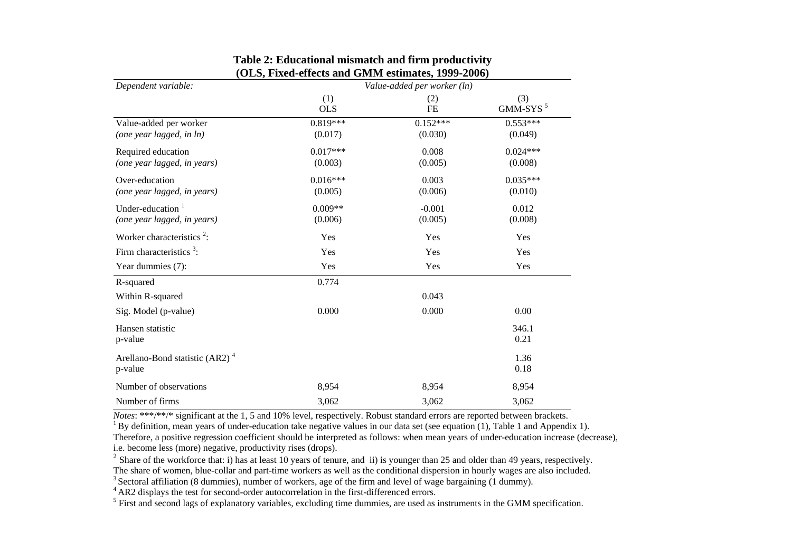| Dependent variable:                                         | Three checks and Given Communes, 1999 2000, | Value-added per worker (ln) |                             |
|-------------------------------------------------------------|---------------------------------------------|-----------------------------|-----------------------------|
|                                                             | (1)<br><b>OLS</b>                           | (2)<br><b>FE</b>            | (3)<br>GMM-SYS <sup>5</sup> |
| Value-added per worker<br>(one year lagged, in ln)          | $0.819***$<br>(0.017)                       | $0.152***$<br>(0.030)       | $0.553***$<br>(0.049)       |
| Required education<br>(one year lagged, in years)           | $0.017***$<br>(0.003)                       | 0.008<br>(0.005)            | $0.024***$<br>(0.008)       |
| Over-education<br>(one year lagged, in years)               | $0.016***$<br>(0.005)                       | 0.003<br>(0.006)            | $0.035***$<br>(0.010)       |
| Under-education <sup>1</sup><br>(one year lagged, in years) | $0.009**$<br>(0.006)                        | $-0.001$<br>(0.005)         | 0.012<br>(0.008)            |
| Worker characteristics $2$ :                                | Yes                                         | Yes                         | Yes                         |
| Firm characteristics $3$ :                                  | Yes                                         | Yes                         | Yes                         |
| Year dummies (7):                                           | Yes                                         | Yes                         | Yes                         |
| R-squared                                                   | 0.774                                       |                             |                             |
| Within R-squared                                            |                                             | 0.043                       |                             |
| Sig. Model (p-value)                                        | 0.000                                       | 0.000                       | 0.00                        |
| Hansen statistic<br>p-value                                 |                                             |                             | 346.1<br>0.21               |
| Arellano-Bond statistic $(AR2)^4$<br>p-value                |                                             |                             | 1.36<br>0.18                |
| Number of observations                                      | 8,954                                       | 8,954                       | 8,954                       |
| Number of firms                                             | 3,062                                       | 3,062                       | 3,062                       |

#### **Table 2: Educational mismatch and firm productivity (OLS, Fixed-effects and GMM estimates, 1999-2006)**

*Notes*: \*\*\*/\*\*/\* significant at the 1, 5 and 10% level, respectively. Robust standard errors are reported between brackets.<br><sup>1</sup> By definition, mean years of under-education take negative values in our data set (see equat

Therefore, a positive regression coefficient should be interpreted as follows: when mean years of under-education increase (decrease), i.e. become less (more) negative, productivity rises (drops).

<sup>2</sup> Share of the workforce that: i) has at least 10 years of tenure, and ii) is younger than 25 and older than 49 years, respectively.

The share of women, blue-collar and part-time workers as well as the conditional dispersion in hourly wages are also included.

<sup>3</sup> Sectoral affiliation (8 dummies), number of workers, age of the firm and level of wage bargaining (1 dummy).

 $^{4}$  AR2 displays the test for second-order autocorrelation in the first-differenced errors.<br><sup>5</sup> First and second lags of explanatory variables, excluding time dummies, are used as instruments in the GMM specification.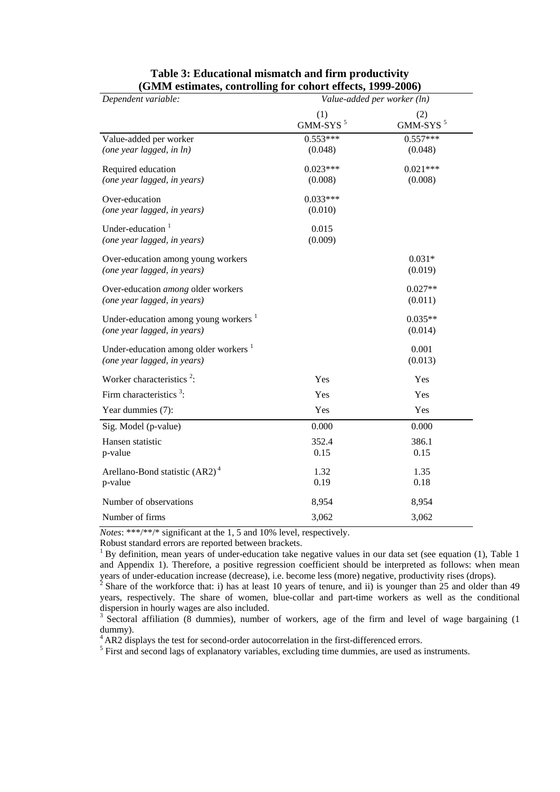| Dependent variable:                                                             | Value-added per worker (ln) |                             |  |
|---------------------------------------------------------------------------------|-----------------------------|-----------------------------|--|
|                                                                                 | (1)<br>GMM-SYS <sup>5</sup> | (2)<br>GMM-SYS <sup>5</sup> |  |
| Value-added per worker<br>(one year lagged, in ln)                              | $0.553***$<br>(0.048)       | $0.557***$<br>(0.048)       |  |
| Required education<br>(one year lagged, in years)                               | $0.023***$<br>(0.008)       | $0.021***$<br>(0.008)       |  |
| Over-education<br>(one year lagged, in years)                                   | $0.033***$<br>(0.010)       |                             |  |
| Under-education <sup>1</sup><br>(one year lagged, in years)                     | 0.015<br>(0.009)            |                             |  |
| Over-education among young workers<br>(one year lagged, in years)               |                             | $0.031*$<br>(0.019)         |  |
| Over-education <i>among</i> older workers<br>(one year lagged, in years)        |                             | $0.027**$<br>(0.011)        |  |
| Under-education among young workers <sup>1</sup><br>(one year lagged, in years) |                             | $0.035**$<br>(0.014)        |  |
| Under-education among older workers <sup>1</sup><br>(one year lagged, in years) |                             | 0.001<br>(0.013)            |  |
| Worker characteristics $2$ :                                                    | Yes                         | Yes                         |  |
| Firm characteristics $3$ :                                                      | Yes                         | Yes                         |  |
| Year dummies (7):                                                               | Yes                         | Yes                         |  |
| Sig. Model (p-value)                                                            | 0.000                       | 0.000                       |  |
| Hansen statistic<br>p-value                                                     | 352.4<br>0.15               | 386.1<br>0.15               |  |
| Arellano-Bond statistic $(AR2)^4$<br>p-value                                    | 1.32<br>0.19                | 1.35<br>0.18                |  |
| Number of observations                                                          | 8,954                       | 8,954                       |  |
| Number of firms                                                                 | 3,062                       | 3,062                       |  |

#### **Table 3: Educational mismatch and firm productivity (GMM estimates, controlling for cohort effects, 1999-2006)**

*Notes*: \*\*\*/\*\*/\* significant at the 1, 5 and 10% level, respectively.

Robust standard errors are reported between brackets.

<sup>1</sup> By definition, mean years of under-education take negative values in our data set (see equation (1), Table 1 and Appendix 1). Therefore, a positive regression coefficient should be interpreted as follows: when mean years of under-education increase (decrease), i.e. become less (more) negative, productivity rises (drops). <sup>2</sup> Share of the workforce that: i) has at least 10 years of tenure, and ii) is younger than 25 and older than 49

years, respectively. The share of women, blue-collar and part-time workers as well as the conditional dispersion in hourly wages are also included.

<sup>4</sup> AR2 displays the test for second-order autocorrelation in the first-differenced errors.

<sup>5</sup> First and second lags of explanatory variables, excluding time dummies, are used as instruments.

<sup>&</sup>lt;sup>3</sup> Sectoral affiliation (8 dummies), number of workers, age of the firm and level of wage bargaining (1 dummy).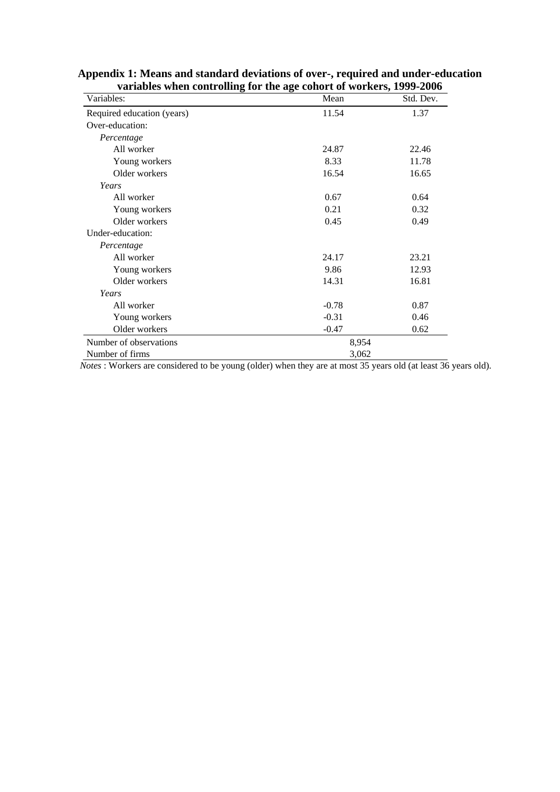| variables when controlling for the age conort or workers, 1777-2000<br>Variables: | Mean    | Std. Dev. |
|-----------------------------------------------------------------------------------|---------|-----------|
| Required education (years)                                                        | 11.54   | 1.37      |
| Over-education:                                                                   |         |           |
| Percentage                                                                        |         |           |
| All worker                                                                        | 24.87   | 22.46     |
| Young workers                                                                     | 8.33    | 11.78     |
| Older workers                                                                     | 16.54   | 16.65     |
| Years                                                                             |         |           |
| All worker                                                                        | 0.67    | 0.64      |
| Young workers                                                                     | 0.21    | 0.32      |
| Older workers                                                                     | 0.45    | 0.49      |
| Under-education:                                                                  |         |           |
| Percentage                                                                        |         |           |
| All worker                                                                        | 24.17   | 23.21     |
| Young workers                                                                     | 9.86    | 12.93     |
| Older workers                                                                     | 14.31   | 16.81     |
| Years                                                                             |         |           |
| All worker                                                                        | $-0.78$ | 0.87      |
| Young workers                                                                     | $-0.31$ | 0.46      |
| Older workers                                                                     | $-0.47$ | 0.62      |
| Number of observations                                                            | 8,954   |           |
| Number of firms                                                                   | 3,062   |           |

#### **Appendix 1: Means and standard deviations of over-, required and under-education variables when controlling for the age cohort of workers, 1999-2006**

*Notes* : Workers are considered to be young (older) when they are at most 35 years old (at least 36 years old).